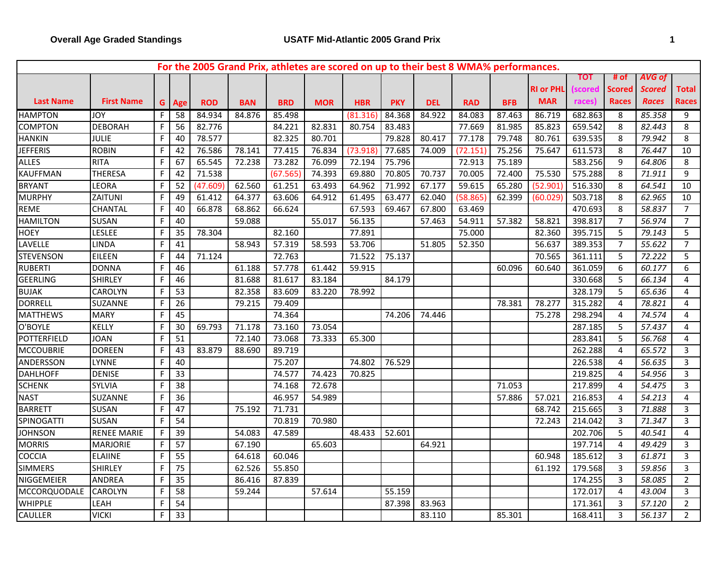|                    |                    |   |                 | For the 2005 Grand Prix, athletes are scored on up to their best 8 WMA% performances. |            |            |            |            |            |            |            |            |                  |            |                |               |                 |
|--------------------|--------------------|---|-----------------|---------------------------------------------------------------------------------------|------------|------------|------------|------------|------------|------------|------------|------------|------------------|------------|----------------|---------------|-----------------|
|                    |                    |   |                 |                                                                                       |            |            |            |            |            |            |            |            |                  | <b>TOT</b> | # of           | AVG of        |                 |
|                    |                    |   |                 |                                                                                       |            |            |            |            |            |            |            |            | <b>RI or PHL</b> | scored     | <b>Scored</b>  | <b>Scored</b> | Total           |
| <b>Last Name</b>   | <b>First Name</b>  |   | G Age           | <b>ROD</b>                                                                            | <b>BAN</b> | <b>BRD</b> | <b>MOR</b> | <b>HBR</b> | <b>PKY</b> | <b>DEL</b> | <b>RAD</b> | <b>BFB</b> | <b>MAR</b>       | races)     | Races          | <b>Races</b>  | <b>Races</b>    |
| <b>HAMPTON</b>     | <b>JOY</b>         | F | $\overline{58}$ | 84.934                                                                                | 84.876     | 85.498     |            | (81.316)   | 84.368     | 84.922     | 84.083     | 87.463     | 86.719           | 682.863    | 8              | 85.358        | 9               |
| <b>COMPTON</b>     | <b>DEBORAH</b>     | F | 56              | 82.776                                                                                |            | 84.221     | 82.831     | 80.754     | 83.483     |            | 77.669     | 81.985     | 85.823           | 659.542    | 8              | 82.443        | 8               |
| <b>HANKIN</b>      | <b>JULIE</b>       | F | 40              | 78.577                                                                                |            | 82.325     | 80.701     |            | 79.828     | 80.417     | 77.178     | 79.748     | 80.761           | 639.535    | 8              | 79.942        | 8               |
| <b>JEFFERIS</b>    | <b>ROBIN</b>       | F | 42              | 76.586                                                                                | 78.141     | 77.415     | 76.834     | (73.918    | 77.685     | 74.009     | (72.151    | 75.256     | 75.647           | 611.573    | 8              | 76.447        | 10              |
| <b>ALLES</b>       | <b>RITA</b>        | F | 67              | 65.545                                                                                | 72.238     | 73.282     | 76.099     | 72.194     | 75.796     |            | 72.913     | 75.189     |                  | 583.256    | 9              | 64.806        | 8               |
| <b>KAUFFMAN</b>    | <b>THERESA</b>     | F | 42              | 71.538                                                                                |            | (67.565)   | 74.393     | 69.880     | 70.805     | 70.737     | 70.005     | 72.400     | 75.530           | 575.288    | 8              | 71.911        | 9               |
| <b>BRYANT</b>      | LEORA              | F | 52              | (47.609)                                                                              | 62.560     | 61.251     | 63.493     | 64.962     | 71.992     | 67.177     | 59.615     | 65.280     | (52.901          | 516.330    | 8              | 64.541        | $\overline{10}$ |
| <b>MURPHY</b>      | ZAITUNI            | F | 49              | 61.412                                                                                | 64.377     | 63.606     | 64.912     | 61.495     | 63.477     | 62.040     | (58.865)   | 62.399     | (60.029)         | 503.718    | 8              | 62.965        | $10\,$          |
| <b>REME</b>        | <b>CHANTAL</b>     | F | 40              | 66.878                                                                                | 68.862     | 66.624     |            | 67.593     | 69.467     | 67.800     | 63.469     |            |                  | 470.693    | 8              | 58.837        | $\overline{7}$  |
| <b>HAMILTON</b>    | <b>SUSAN</b>       | F | 40              |                                                                                       | 59.088     |            | 55.017     | 56.135     |            | 57.463     | 54.911     | 57.382     | 58.821           | 398.817    | $\overline{7}$ | 56.974        | $\overline{7}$  |
| <b>HOEY</b>        | <b>LESLEE</b>      | F | 35              | 78.304                                                                                |            | 82.160     |            | 77.891     |            |            | 75.000     |            | 82.360           | 395.715    | 5              | 79.143        | 5               |
| LAVELLE            | <b>LINDA</b>       | F | 41              |                                                                                       | 58.943     | 57.319     | 58.593     | 53.706     |            | 51.805     | 52.350     |            | 56.637           | 389.353    | $\overline{7}$ | 55.622        | $\overline{7}$  |
| <b>STEVENSON</b>   | <b>EILEEN</b>      | F | 44              | 71.124                                                                                |            | 72.763     |            | 71.522     | 75.137     |            |            |            | 70.565           | 361.111    | 5              | 72.222        | 5               |
| <b>RUBERTI</b>     | <b>DONNA</b>       | F | 46              |                                                                                       | 61.188     | 57.778     | 61.442     | 59.915     |            |            |            | 60.096     | 60.640           | 361.059    | 6              | 60.177        | 6               |
| <b>GEERLING</b>    | SHIRLEY            | F | 46              |                                                                                       | 81.688     | 81.617     | 83.184     |            | 84.179     |            |            |            |                  | 330.668    | 5              | 66.134        | $\pmb{4}$       |
| <b>BUJAK</b>       | CAROLYN            | F | 53              |                                                                                       | 82.358     | 83.609     | 83.220     | 78.992     |            |            |            |            |                  | 328.179    | 5              | 65.636        | 4               |
| <b>DORRELL</b>     | SUZANNE            | F | 26              |                                                                                       | 79.215     | 79.409     |            |            |            |            |            | 78.381     | 78.277           | 315.282    | $\overline{4}$ | 78.821        | 4               |
| <b>MATTHEWS</b>    | <b>MARY</b>        | F | $\overline{45}$ |                                                                                       |            | 74.364     |            |            | 74.206     | 74.446     |            |            | 75.278           | 298.294    | 4              | 74.574        | 4               |
| O'BOYLE            | KELLY              | F | 30              | 69.793                                                                                | 71.178     | 73.160     | 73.054     |            |            |            |            |            |                  | 287.185    | 5              | 57.437        | $\overline{4}$  |
| <b>POTTERFIELD</b> | <b>JOAN</b>        | F | 51              |                                                                                       | 72.140     | 73.068     | 73.333     | 65.300     |            |            |            |            |                  | 283.841    | 5              | 56.768        | 4               |
| <b>MCCOUBRIE</b>   | <b>DOREEN</b>      | F | 43              | 83.879                                                                                | 88.690     | 89.719     |            |            |            |            |            |            |                  | 262.288    | 4              | 65.572        | 3               |
| ANDERSSON          | <b>LYNNE</b>       | F | 40              |                                                                                       |            | 75.207     |            | 74.802     | 76.529     |            |            |            |                  | 226.538    | 4              | 56.635        | $\mathbf{3}$    |
| <b>DAHLHOFF</b>    | <b>DENISE</b>      | F | 33              |                                                                                       |            | 74.577     | 74.423     | 70.825     |            |            |            |            |                  | 219.825    | $\overline{4}$ | 54.956        | $\overline{3}$  |
| <b>SCHENK</b>      | <b>SYLVIA</b>      | F | 38              |                                                                                       |            | 74.168     | 72.678     |            |            |            |            | 71.053     |                  | 217.899    | $\overline{4}$ | 54.475        | 3               |
| <b>NAST</b>        | <b>SUZANNE</b>     | F | 36              |                                                                                       |            | 46.957     | 54.989     |            |            |            |            | 57.886     | 57.021           | 216.853    | 4              | 54.213        | 4               |
| <b>BARRETT</b>     | <b>SUSAN</b>       | F | 47              |                                                                                       | 75.192     | 71.731     |            |            |            |            |            |            | 68.742           | 215.665    | 3              | 71.888        | 3               |
| SPINOGATTI         | <b>SUSAN</b>       | F | 54              |                                                                                       |            | 70.819     | 70.980     |            |            |            |            |            | 72.243           | 214.042    | 3              | 71.347        | 3               |
| <b>JOHNSON</b>     | <b>RENEE MARIE</b> | F | 39              |                                                                                       | 54.083     | 47.589     |            | 48.433     | 52.601     |            |            |            |                  | 202.706    | 5              | 40.541        | 4               |
| <b>MORRIS</b>      | <b>MARJORIE</b>    | F | $\overline{57}$ |                                                                                       | 67.190     |            | 65.603     |            |            | 64.921     |            |            |                  | 197.714    | $\overline{4}$ | 49.429        | $\overline{3}$  |
| COCCIA             | <b>ELAIINE</b>     | F | 55              |                                                                                       | 64.618     | 60.046     |            |            |            |            |            |            | 60.948           | 185.612    | 3              | 61.871        | 3               |
| <b>SIMMERS</b>     | <b>SHIRLEY</b>     | F | $\overline{75}$ |                                                                                       | 62.526     | 55.850     |            |            |            |            |            |            | 61.192           | 179.568    | 3              | 59.856        | 3               |
| NIGGEMEIER         | <b>ANDREA</b>      |   | $\overline{35}$ |                                                                                       | 86.416     | 87.839     |            |            |            |            |            |            |                  | 174.255    | 3              | 58.085        | $\overline{2}$  |
| MCCORQUODALE       | <b>CAROLYN</b>     | F | 58              |                                                                                       | 59.244     |            | 57.614     |            | 55.159     |            |            |            |                  | 172.017    | $\overline{4}$ | 43.004        | $\mathbf{3}$    |
| WHIPPLE            | LEAH               | F | 54              |                                                                                       |            |            |            |            | 87.398     | 83.963     |            |            |                  | 171.361    | 3              | 57.120        | $\overline{2}$  |
| CAULLER            | <b>VICKI</b>       | F | 33              |                                                                                       |            |            |            |            |            | 83.110     |            | 85.301     |                  | 168.411    | 3              | 56.137        | $\overline{2}$  |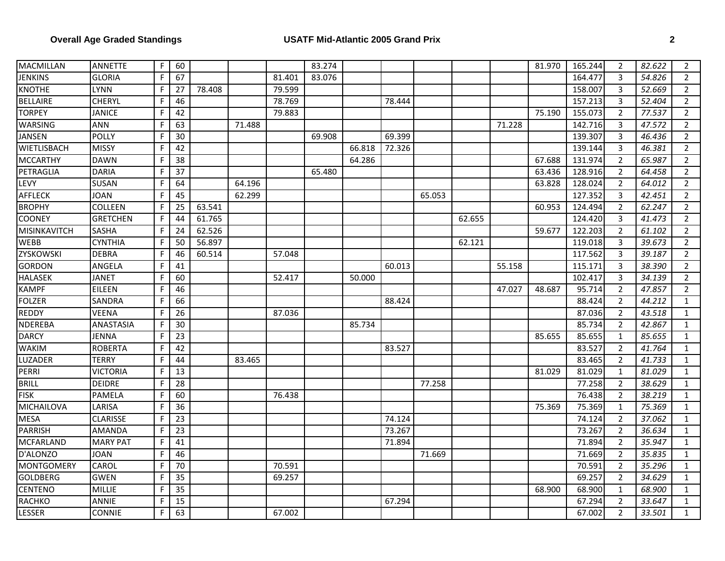| MACMILLAN         | <b>ANNETTE</b>  | F | 60              |        |        |        | 83.274 |        |        |        |        |        | 81.970 | 165.244 | $\overline{2}$ | 82.622 | $\overline{2}$ |
|-------------------|-----------------|---|-----------------|--------|--------|--------|--------|--------|--------|--------|--------|--------|--------|---------|----------------|--------|----------------|
| <b>JENKINS</b>    | <b>GLORIA</b>   | F | 67              |        |        | 81.401 | 83.076 |        |        |        |        |        |        | 164.477 | 3              | 54.826 | 2              |
| <b>KNOTHE</b>     | <b>LYNN</b>     | F | 27              | 78.408 |        | 79.599 |        |        |        |        |        |        |        | 158.007 | 3              | 52.669 | $\overline{2}$ |
| <b>BELLAIRE</b>   | <b>CHERYL</b>   | F | 46              |        |        | 78.769 |        |        | 78.444 |        |        |        |        | 157.213 | 3              | 52.404 | $\overline{2}$ |
| <b>TORPEY</b>     | <b>JANICE</b>   | F | 42              |        |        | 79.883 |        |        |        |        |        |        | 75.190 | 155.073 | $\overline{2}$ | 77.537 | $\overline{2}$ |
| WARSING           | <b>ANN</b>      |   | 63              |        | 71.488 |        |        |        |        |        |        | 71.228 |        | 142.716 | 3              | 47.572 | $\overline{2}$ |
| <b>JANSEN</b>     | <b>POLLY</b>    |   | 30              |        |        |        | 69.908 |        | 69.399 |        |        |        |        | 139.307 | 3              | 46.436 | $\overline{2}$ |
| WIETLISBACH       | <b>MISSY</b>    | F | 42              |        |        |        |        | 66.818 | 72.326 |        |        |        |        | 139.144 | $\overline{3}$ | 46.381 | $\overline{2}$ |
| <b>MCCARTHY</b>   | <b>DAWN</b>     | F | 38              |        |        |        |        | 64.286 |        |        |        |        | 67.688 | 131.974 | $\overline{2}$ | 65.987 | $\overline{2}$ |
| PETRAGLIA         | <b>DARIA</b>    |   | 37              |        |        |        | 65.480 |        |        |        |        |        | 63.436 | 128.916 | $\overline{2}$ | 64.458 | $\overline{2}$ |
| LEVY              | <b>SUSAN</b>    |   | 64              |        | 64.196 |        |        |        |        |        |        |        | 63.828 | 128.024 | $\overline{2}$ | 64.012 | $\overline{2}$ |
| AFFLECK           | <b>JOAN</b>     |   | 45              |        | 62.299 |        |        |        |        | 65.053 |        |        |        | 127.352 | 3              | 42.451 | $\overline{2}$ |
| <b>BROPHY</b>     | COLLEEN         | F | 25              | 63.541 |        |        |        |        |        |        |        |        | 60.953 | 124.494 | $\overline{2}$ | 62.247 | $\overline{2}$ |
| COONEY            | <b>GRETCHEN</b> | F | 44              | 61.765 |        |        |        |        |        |        | 62.655 |        |        | 124.420 | 3              | 41.473 | $\overline{2}$ |
| MISINKAVITCH      | <b>SASHA</b>    | F | 24              | 62.526 |        |        |        |        |        |        |        |        | 59.677 | 122.203 | $\overline{2}$ | 61.102 | $\overline{2}$ |
| <b>WEBB</b>       | <b>CYNTHIA</b>  | F | 50              | 56.897 |        |        |        |        |        |        | 62.121 |        |        | 119.018 | 3              | 39.673 | $\overline{2}$ |
| ZYSKOWSKI         | <b>DEBRA</b>    | F | 46              | 60.514 |        | 57.048 |        |        |        |        |        |        |        | 117.562 | 3              | 39.187 | $\overline{2}$ |
| <b>GORDON</b>     | ANGELA          |   | 41              |        |        |        |        |        | 60.013 |        |        | 55.158 |        | 115.171 | 3              | 38.390 | $\overline{2}$ |
| <b>HALASEK</b>    | <b>JANET</b>    |   | 60              |        |        | 52.417 |        | 50.000 |        |        |        |        |        | 102.417 | 3              | 34.139 | $\overline{2}$ |
| <b>KAMPF</b>      | EILEEN          | F | 46              |        |        |        |        |        |        |        |        | 47.027 | 48.687 | 95.714  | $\overline{2}$ | 47.857 | $\overline{2}$ |
| <b>FOLZER</b>     | SANDRA          | F | 66              |        |        |        |        |        | 88.424 |        |        |        |        | 88.424  | $\overline{2}$ | 44.212 | $\mathbf{1}$   |
| <b>REDDY</b>      | <b>VEENA</b>    |   | $\overline{26}$ |        |        | 87.036 |        |        |        |        |        |        |        | 87.036  | $\overline{2}$ | 43.518 | $\mathbf{1}$   |
| <b>NDEREBA</b>    | ANASTASIA       |   | 30              |        |        |        |        | 85.734 |        |        |        |        |        | 85.734  | $\overline{2}$ | 42.867 | $\mathbf{1}$   |
| <b>DARCY</b>      | JENNA           |   | 23              |        |        |        |        |        |        |        |        |        | 85.655 | 85.655  | $\mathbf{1}$   | 85.655 | $\mathbf{1}$   |
| <b>WAKIM</b>      | <b>ROBERTA</b>  |   | 42              |        |        |        |        |        | 83.527 |        |        |        |        | 83.527  | 2              | 41.764 | 1              |
| LUZADER           | <b>TERRY</b>    | F | 44              |        | 83.465 |        |        |        |        |        |        |        |        | 83.465  | 2              | 41.733 | $\mathbf{1}$   |
| PERRI             | <b>VICTORIA</b> | F | 13              |        |        |        |        |        |        |        |        |        | 81.029 | 81.029  | $\mathbf{1}$   | 81.029 | $\mathbf{1}$   |
| <b>BRILL</b>      | <b>DEIDRE</b>   | F | 28              |        |        |        |        |        |        | 77.258 |        |        |        | 77.258  | $\overline{2}$ | 38.629 | $\mathbf{1}$   |
| <b>FISK</b>       | <b>PAMELA</b>   | F | 60              |        |        | 76.438 |        |        |        |        |        |        |        | 76.438  | $\overline{2}$ | 38.219 | $\mathbf{1}$   |
| <b>MICHAILOVA</b> | LARISA          |   | 36              |        |        |        |        |        |        |        |        |        | 75.369 | 75.369  | $\mathbf{1}$   | 75.369 | $\mathbf{1}$   |
| <b>MESA</b>       | <b>CLARISSE</b> |   | 23              |        |        |        |        |        | 74.124 |        |        |        |        | 74.124  | 2              | 37.062 | $\mathbf{1}$   |
| <b>PARRISH</b>    | <b>AMANDA</b>   | F | 23              |        |        |        |        |        | 73.267 |        |        |        |        | 73.267  | $\overline{2}$ | 36.634 | $\mathbf{1}$   |
| MCFARLAND         | <b>MARY PAT</b> | F | 41              |        |        |        |        |        | 71.894 |        |        |        |        | 71.894  | $\overline{2}$ | 35.947 | $\mathbf{1}$   |
| D'ALONZO          | <b>JOAN</b>     | F | 46              |        |        |        |        |        |        | 71.669 |        |        |        | 71.669  | $\overline{2}$ | 35.835 | $\mathbf{1}$   |
| <b>MONTGOMERY</b> | <b>CAROL</b>    |   | 70              |        |        | 70.591 |        |        |        |        |        |        |        | 70.591  | $\overline{2}$ | 35.296 | $\mathbf{1}$   |
| <b>GOLDBERG</b>   | <b>GWEN</b>     |   | $\overline{35}$ |        |        | 69.257 |        |        |        |        |        |        |        | 69.257  | $\overline{2}$ | 34.629 | $\mathbf{1}$   |
| <b>CENTENO</b>    | MILLIE          |   | 35              |        |        |        |        |        |        |        |        |        | 68.900 | 68.900  | $\mathbf{1}$   | 68.900 | $\mathbf{1}$   |
| RACHKO            | ANNIE           |   | 15              |        |        |        |        |        | 67.294 |        |        |        |        | 67.294  | 2              | 33.647 | $\mathbf{1}$   |
| LESSER            | <b>CONNIE</b>   | F | 63              |        |        | 67.002 |        |        |        |        |        |        |        | 67.002  | $\overline{2}$ | 33.501 | $\mathbf{1}$   |
|                   |                 |   |                 |        |        |        |        |        |        |        |        |        |        |         |                |        |                |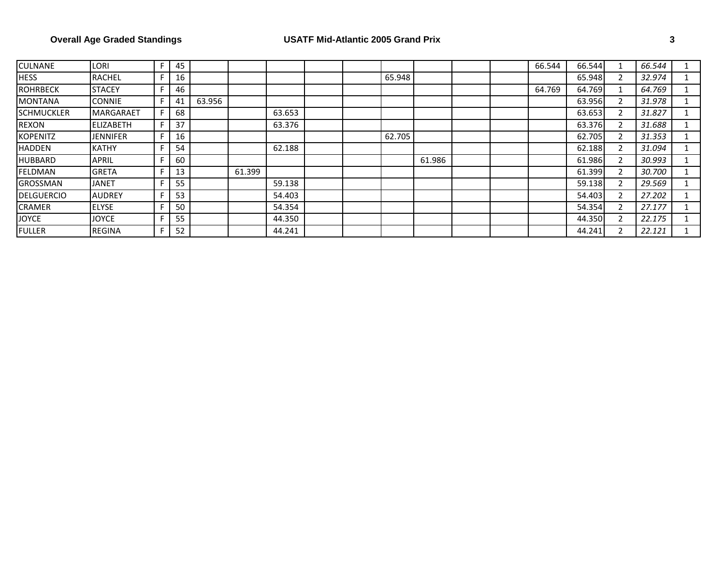| <b>CULNANE</b>    | LORI             | F | 45 |        |        |        |  |        |        |  | 66.544 | 66.544 | 1              | 66.544 |  |
|-------------------|------------------|---|----|--------|--------|--------|--|--------|--------|--|--------|--------|----------------|--------|--|
| <b>HESS</b>       | <b>RACHEL</b>    |   | 16 |        |        |        |  | 65.948 |        |  |        | 65.948 | 2              | 32.974 |  |
| <b>ROHRBECK</b>   | <b>STACEY</b>    |   | 46 |        |        |        |  |        |        |  | 64.769 | 64.769 | 1              | 64.769 |  |
| <b>MONTANA</b>    | <b>CONNIE</b>    |   | 41 | 63.956 |        |        |  |        |        |  |        | 63.956 | 2              | 31.978 |  |
| <b>SCHMUCKLER</b> | <b>MARGARAET</b> |   | 68 |        |        | 63.653 |  |        |        |  |        | 63.653 | 2              | 31.827 |  |
| <b>REXON</b>      | <b>ELIZABETH</b> |   | 37 |        |        | 63.376 |  |        |        |  |        | 63.376 | 2              | 31.688 |  |
| <b>KOPENITZ</b>   | <b>JENNIFER</b>  |   | 16 |        |        |        |  | 62.705 |        |  |        | 62.705 | 2              | 31.353 |  |
| HADDEN            | <b>KATHY</b>     |   | 54 |        |        | 62.188 |  |        |        |  |        | 62.188 | 2              | 31.094 |  |
| <b>HUBBARD</b>    | APRIL            |   | 60 |        |        |        |  |        | 61.986 |  |        | 61.986 | 2              | 30.993 |  |
| FELDMAN           | <b>GRETA</b>     |   | 13 |        | 61.399 |        |  |        |        |  |        | 61.399 | $\overline{2}$ | 30.700 |  |
| <b>GROSSMAN</b>   | <b>JANET</b>     |   | 55 |        |        | 59.138 |  |        |        |  |        | 59.138 | 2              | 29.569 |  |
| <b>DELGUERCIO</b> | <b>AUDREY</b>    |   | 53 |        |        | 54.403 |  |        |        |  |        | 54.403 | 2              | 27.202 |  |
| <b>CRAMER</b>     | <b>ELYSE</b>     |   | 50 |        |        | 54.354 |  |        |        |  |        | 54.354 | 2              | 27.177 |  |
| <b>JOYCE</b>      | <b>JOYCE</b>     |   | 55 |        |        | 44.350 |  |        |        |  |        | 44.350 | 2              | 22.175 |  |
| <b>FULLER</b>     | <b>REGINA</b>    |   | 52 |        |        | 44.241 |  |        |        |  |        | 44.241 | 2              | 22.121 |  |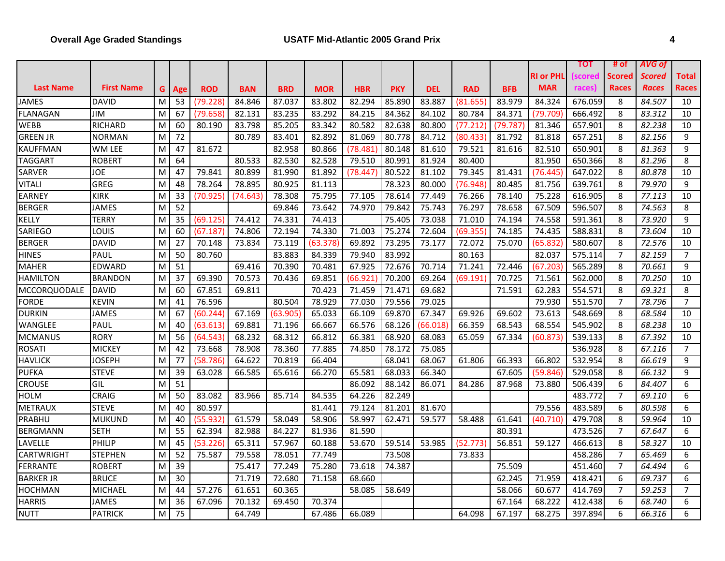## **Overall Age Graded Standings USATF Mid-Atlantic 2005 Grand Prix 4**

| RI or PHL<br><b>Scored</b><br>Scored<br>Total<br>scored<br><b>Last Name</b><br><b>First Name</b><br><b>MAR</b><br><b>Races</b><br>Races<br><b>BRD</b><br><b>MOR</b><br><b>PKY</b><br><b>DEL</b><br><b>RAD</b><br><b>BFB</b><br>races)<br>Races<br>G<br><b>ROD</b><br><b>BAN</b><br><b>HBR</b><br>Age<br><b>JAMES</b><br><b>DAVID</b><br>87.037<br>83.887<br>83.979<br>84.324<br>676.059<br>8<br>84.507<br>M<br>53<br>(79.228)<br>84.846<br>83.802<br>82.294<br>85.890<br>(81.655)<br>10<br>FLANAGAN<br>83.235<br>83.292<br>84.215<br>84.362<br>80.784<br>84.371<br>666.492<br>8<br>83.312<br>10<br>JIM<br>M<br>67<br>(79.658)<br>82.131<br>84.102<br>(79.709)<br>WEBB<br><b>RICHARD</b><br>80.190<br>83.798<br>85.205<br>83.342<br>80.582<br>82.638<br>(77.212)<br>(79.787<br>81.346<br>657.901<br>8<br>82.238<br>M<br>60<br>80.800<br>10<br><b>GREEN JR</b><br><b>NORMAN</b><br>M<br>72<br>80.789<br>83.401<br>80.778<br>84.712<br>(80.433)<br>81.792<br>8<br>82.156<br>9<br>82.892<br>81.069<br>81.818<br>657.25<br><b>KAUFFMAN</b><br>82.958<br>82.510<br>8<br>81.363<br>9<br>WM LEE<br>M<br>47<br>81.672<br>80.866<br>(78.481<br>80.148<br>81.610<br>79.521<br>81.616<br>650.901<br>TAGGART<br><b>ROBERT</b><br>80.533<br>82.530<br>82.528<br>79.510<br>80.991<br>81.924<br>80.400<br>81.950<br>650.366<br>8<br>81.296<br>8<br>M<br>64<br>79.841<br>80.899<br>81.431<br>8<br>10<br>SARVER<br>JOE<br>M<br>47<br>81.990<br>81.892<br>(78.447<br>80.522<br>81.102<br>79.345<br>(76.445)<br>647.022<br>80.878<br>GREG<br>78.895<br>80.925<br>78.323<br>8<br>9<br>VITALI<br>48<br>78.264<br>81.113<br>80.000<br>(76.948<br>80.485<br>81.756<br>639.761<br>79.970<br>M<br>8<br>10<br><b>KIRK</b><br>M<br>33<br>(70.925)<br>(74.643)<br>78.308<br>75.795<br>77.105<br>78.614<br>77.449<br>76.266<br>75.228<br>616.905<br>77.113<br>EARNEY<br>78.140<br><b>JAMES</b><br>52<br>69.846<br>73.642<br>79.842<br>75.743<br>76.297<br>78.658<br>67.509<br>596.507<br>8<br>74.563<br>8<br><b>BERGER</b><br>M<br>74.970<br>TERRY<br>74.331<br>75.405<br>73.038<br>591.361<br>73.920<br>KELLY<br>35<br>(69.125)<br>74.412<br>74.413<br>71.010<br>74.194<br>74.558<br>8<br>9<br>M<br>71.003<br>75.274<br>Louis<br>60<br>74.806<br>72.194<br>74.330<br>72.604<br>(69.355)<br>74.185<br>588.831<br>8<br>73.604<br>10<br>SARIEGO<br>M<br>(67.187)<br>74.435<br><b>DAVID</b><br>8<br><b>BERGER</b><br>M<br>27<br>70.148<br>73.834<br>73.119<br>(63.378)<br>69.892<br>73.295<br>73.177<br>72.072<br>75.070<br>580.607<br>72.576<br>10<br>(65.832<br>$\overline{7}$<br>$\overline{7}$<br><b>HINES</b><br>PAUL<br>50<br>80.760<br>83.883<br>84.339<br>79.940<br>83.992<br>80.163<br>82.037<br>575.114<br>82.159<br>M<br><b>EDWARD</b><br>51<br>69.416<br>70.714<br>72.446<br>8<br>9<br><b>MAHER</b><br>M<br>70.390<br>70.481<br>67.925<br>72.676<br>71.241<br>565.289<br>70.661<br>(67.203<br><b>HAMILTON</b><br>69.390<br>8<br><b>BRANDON</b><br>M<br>37<br>70.573<br>70.436<br>69.851<br>(66.921<br>70.200<br>69.264<br>(69.191<br>70.725<br>71.561<br>562.000<br>70.250<br>10<br>8<br><b>MCCORQUODALE</b><br><b>DAVID</b><br>M<br>60<br>67.851<br>69.811<br>70.423<br>71.459<br>71.471<br>69.682<br>71.591<br>62.283<br>554.571<br>8<br>69.321<br>80.504<br>$\overline{7}$<br>$\overline{7}$<br>KEVIN<br>M<br>76.596<br>78.929<br>77.030<br>79.556<br>79.025<br>79.930<br>551.570<br>78.796<br>FORDE<br>41<br>67.169<br>69.870<br>69.602<br>8<br>10<br><b>DURKIN</b><br>JAMES<br>(60.244)<br>(63.905<br>65.033<br>66.109<br>67.347<br>69.926<br>73.613<br>548.669<br>68.584<br>M<br>67<br>WANGLEE<br>PAUL<br>M<br>69.881<br>68.126<br>68.543<br>68.554<br>545.902<br>8<br>10<br>40<br>(63.613)<br>71.196<br>66.667<br>66.576<br>(66.018)<br>66.359<br>68.238<br><b>RORY</b><br>68.312<br>8<br><b>MCMANUS</b><br>56<br>(64.543)<br>68.232<br>66.812<br>66.381<br>68.920<br>68.083<br>65.059<br>67.334<br>539.133<br>67.392<br>10<br>M<br>(60.873)<br><b>MICKEY</b><br>78.908<br>78.360<br>77.885<br>75.085<br><b>ROSATI</b><br>42<br>73.668<br>74.850<br>78.172<br>536.928<br>8<br>67.116<br>7<br>M<br><b>HAVLICK</b><br>JOSEPH<br>77<br>(58.786)<br>64.622<br>70.819<br>66.404<br>68.041<br>68.067<br>66.393<br>66.802<br>532.954<br>8<br>66.619<br>9<br>M<br>61.806<br>9<br><b>PUFKA</b><br><b>STEVE</b><br>39<br>63.028<br>66.585<br>65.616<br>66.270<br>65.581<br>68.033<br>66.340<br>67.605<br>529.058<br>8<br>66.132<br>M<br>(59.846)<br>CROUSE<br>GIL<br>M<br>51<br>86.092<br>88.142<br>6<br>6<br>86.071<br>84.286<br>87.968<br>73.880<br>506.439<br>84.407<br>$\overline{7}$<br><b>CRAIG</b><br>M<br>50<br>83.082<br>85.714<br>84.535<br>64.226<br>82.249<br>483.772<br>6<br><b>HOLM</b><br>83.966<br>69.110<br><b>STEVE</b><br>79.556<br><b>METRAUX</b><br>M<br>40<br>80.597<br>81.441<br>79.124<br>81.201<br>81.670<br>483.589<br>6<br>80.598<br>6<br>58.997<br>62.471<br>PRABHU<br><b>MUKUND</b><br>M<br>40<br>(55.932)<br>61.579<br>58.049<br>58.906<br>59.577<br>58.488<br>61.641<br>(40.710)<br>479.708<br>8<br>59.964<br>10<br><b>SETH</b><br>M<br>55<br>62.394<br>82.988<br>84.227<br>81.590<br>473.526<br>$\overline{7}$<br>6<br><b>BERGMANN</b><br>81.936<br>80.391<br>67.647<br>PHILIP<br>59.514<br>8<br>LAVELLE<br>45<br>(53.226)<br>65.311<br>57.967<br>60.188<br>53.670<br>53.985<br>(52.773<br>56.851<br>59.127<br>466.613<br>58.327<br>10<br>M<br>$\overline{7}$<br>CARTWRIGHT<br>52<br>73.508<br><b>STEPHEN</b><br>M<br>75.587<br>79.558<br>78.051<br>77.749<br>73.833<br>458.286<br>65.469<br>6<br>$\overline{7}$<br><b>FERRANTE</b><br><b>ROBERT</b><br>39<br>75.417<br>77.249<br>75.280<br>73.618<br>74.387<br>75.509<br>64.494<br>6<br>M<br>451.460<br><b>BARKER JR</b><br><b>BRUCE</b><br>M<br>30<br>71.719<br>72.680<br>71.158<br>68.660<br>62.245<br>71.959<br>418.421<br>6<br>69.737<br>6<br>61.651<br>$\overline{7}$<br><b>MICHAEL</b><br>M<br>57.276<br>60.365<br>58.085<br>58.649<br>58.066<br>60.677<br>59.253<br>$\overline{7}$<br><b>HOCHMAN</b><br>44<br>414.769<br><b>HARRIS</b><br><b>JAMES</b><br>67.096<br>70.132<br>69.450<br>70.374<br>67.164<br>6<br>6<br>M<br>36<br>68.222<br>412.438<br>68.740<br>M<br>75<br>64.749<br>64.098<br>6<br>6<br><b>NUTT</b><br><b>PATRICK</b><br>67.486<br>66.089<br>67.197<br>68.275<br>397.894<br>66.316 |  |  |  |  |  |  |  | τοτ | # of | AVG of |  |
|---------------------------------------------------------------------------------------------------------------------------------------------------------------------------------------------------------------------------------------------------------------------------------------------------------------------------------------------------------------------------------------------------------------------------------------------------------------------------------------------------------------------------------------------------------------------------------------------------------------------------------------------------------------------------------------------------------------------------------------------------------------------------------------------------------------------------------------------------------------------------------------------------------------------------------------------------------------------------------------------------------------------------------------------------------------------------------------------------------------------------------------------------------------------------------------------------------------------------------------------------------------------------------------------------------------------------------------------------------------------------------------------------------------------------------------------------------------------------------------------------------------------------------------------------------------------------------------------------------------------------------------------------------------------------------------------------------------------------------------------------------------------------------------------------------------------------------------------------------------------------------------------------------------------------------------------------------------------------------------------------------------------------------------------------------------------------------------------------------------------------------------------------------------------------------------------------------------------------------------------------------------------------------------------------------------------------------------------------------------------------------------------------------------------------------------------------------------------------------------------------------------------------------------------------------------------------------------------------------------------------------------------------------------------------------------------------------------------------------------------------------------------------------------------------------------------------------------------------------------------------------------------------------------------------------------------------------------------------------------------------------------------------------------------------------------------------------------------------------------------------------------------------------------------------------------------------------------------------------------------------------------------------------------------------------------------------------------------------------------------------------------------------------------------------------------------------------------------------------------------------------------------------------------------------------------------------------------------------------------------------------------------------------------------------------------------------------------------------------------------------------------------------------------------------------------------------------------------------------------------------------------------------------------------------------------------------------------------------------------------------------------------------------------------------------------------------------------------------------------------------------------------------------------------------------------------------------------------------------------------------------------------------------------------------------------------------------------------------------------------------------------------------------------------------------------------------------------------------------------------------------------------------------------------------------------------------------------------------------------------------------------------------------------------------------------------------------------------------------------------------------------------------------------------------------------------------------------------------------------------------------------------------------------------------------------------------------------------------------------------------------------------------------------------------------------------------------------------------------------------------------------------------------------------------------------------------------------------------------------------------------------------------------------------------------------------------------------------------------------------------------------------------------------------------------------------------------------------------------------------------------------------------------------------------------------------------------------------------------------------------------------------------------------------------------------------------------------------------------------------------------------------------------------------------------------------------------------------------------------------------------------------------------------------------------------------------------------------------------------------------------------------------------------------------------------------------------------------------------------------------------------------------------------------------------------------------------------------------------------------------------------------|--|--|--|--|--|--|--|-----|------|--------|--|
|                                                                                                                                                                                                                                                                                                                                                                                                                                                                                                                                                                                                                                                                                                                                                                                                                                                                                                                                                                                                                                                                                                                                                                                                                                                                                                                                                                                                                                                                                                                                                                                                                                                                                                                                                                                                                                                                                                                                                                                                                                                                                                                                                                                                                                                                                                                                                                                                                                                                                                                                                                                                                                                                                                                                                                                                                                                                                                                                                                                                                                                                                                                                                                                                                                                                                                                                                                                                                                                                                                                                                                                                                                                                                                                                                                                                                                                                                                                                                                                                                                                                                                                                                                                                                                                                                                                                                                                                                                                                                                                                                                                                                                                                                                                                                                                                                                                                                                                                                                                                                                                                                                                                                                                                                                                                                                                                                                                                                                                                                                                                                                                                                                                                                                                                                                                                                                                                                                                                                                                                                                                                                                                                                                                                                                                                     |  |  |  |  |  |  |  |     |      |        |  |
|                                                                                                                                                                                                                                                                                                                                                                                                                                                                                                                                                                                                                                                                                                                                                                                                                                                                                                                                                                                                                                                                                                                                                                                                                                                                                                                                                                                                                                                                                                                                                                                                                                                                                                                                                                                                                                                                                                                                                                                                                                                                                                                                                                                                                                                                                                                                                                                                                                                                                                                                                                                                                                                                                                                                                                                                                                                                                                                                                                                                                                                                                                                                                                                                                                                                                                                                                                                                                                                                                                                                                                                                                                                                                                                                                                                                                                                                                                                                                                                                                                                                                                                                                                                                                                                                                                                                                                                                                                                                                                                                                                                                                                                                                                                                                                                                                                                                                                                                                                                                                                                                                                                                                                                                                                                                                                                                                                                                                                                                                                                                                                                                                                                                                                                                                                                                                                                                                                                                                                                                                                                                                                                                                                                                                                                                     |  |  |  |  |  |  |  |     |      |        |  |
|                                                                                                                                                                                                                                                                                                                                                                                                                                                                                                                                                                                                                                                                                                                                                                                                                                                                                                                                                                                                                                                                                                                                                                                                                                                                                                                                                                                                                                                                                                                                                                                                                                                                                                                                                                                                                                                                                                                                                                                                                                                                                                                                                                                                                                                                                                                                                                                                                                                                                                                                                                                                                                                                                                                                                                                                                                                                                                                                                                                                                                                                                                                                                                                                                                                                                                                                                                                                                                                                                                                                                                                                                                                                                                                                                                                                                                                                                                                                                                                                                                                                                                                                                                                                                                                                                                                                                                                                                                                                                                                                                                                                                                                                                                                                                                                                                                                                                                                                                                                                                                                                                                                                                                                                                                                                                                                                                                                                                                                                                                                                                                                                                                                                                                                                                                                                                                                                                                                                                                                                                                                                                                                                                                                                                                                                     |  |  |  |  |  |  |  |     |      |        |  |
|                                                                                                                                                                                                                                                                                                                                                                                                                                                                                                                                                                                                                                                                                                                                                                                                                                                                                                                                                                                                                                                                                                                                                                                                                                                                                                                                                                                                                                                                                                                                                                                                                                                                                                                                                                                                                                                                                                                                                                                                                                                                                                                                                                                                                                                                                                                                                                                                                                                                                                                                                                                                                                                                                                                                                                                                                                                                                                                                                                                                                                                                                                                                                                                                                                                                                                                                                                                                                                                                                                                                                                                                                                                                                                                                                                                                                                                                                                                                                                                                                                                                                                                                                                                                                                                                                                                                                                                                                                                                                                                                                                                                                                                                                                                                                                                                                                                                                                                                                                                                                                                                                                                                                                                                                                                                                                                                                                                                                                                                                                                                                                                                                                                                                                                                                                                                                                                                                                                                                                                                                                                                                                                                                                                                                                                                     |  |  |  |  |  |  |  |     |      |        |  |
|                                                                                                                                                                                                                                                                                                                                                                                                                                                                                                                                                                                                                                                                                                                                                                                                                                                                                                                                                                                                                                                                                                                                                                                                                                                                                                                                                                                                                                                                                                                                                                                                                                                                                                                                                                                                                                                                                                                                                                                                                                                                                                                                                                                                                                                                                                                                                                                                                                                                                                                                                                                                                                                                                                                                                                                                                                                                                                                                                                                                                                                                                                                                                                                                                                                                                                                                                                                                                                                                                                                                                                                                                                                                                                                                                                                                                                                                                                                                                                                                                                                                                                                                                                                                                                                                                                                                                                                                                                                                                                                                                                                                                                                                                                                                                                                                                                                                                                                                                                                                                                                                                                                                                                                                                                                                                                                                                                                                                                                                                                                                                                                                                                                                                                                                                                                                                                                                                                                                                                                                                                                                                                                                                                                                                                                                     |  |  |  |  |  |  |  |     |      |        |  |
|                                                                                                                                                                                                                                                                                                                                                                                                                                                                                                                                                                                                                                                                                                                                                                                                                                                                                                                                                                                                                                                                                                                                                                                                                                                                                                                                                                                                                                                                                                                                                                                                                                                                                                                                                                                                                                                                                                                                                                                                                                                                                                                                                                                                                                                                                                                                                                                                                                                                                                                                                                                                                                                                                                                                                                                                                                                                                                                                                                                                                                                                                                                                                                                                                                                                                                                                                                                                                                                                                                                                                                                                                                                                                                                                                                                                                                                                                                                                                                                                                                                                                                                                                                                                                                                                                                                                                                                                                                                                                                                                                                                                                                                                                                                                                                                                                                                                                                                                                                                                                                                                                                                                                                                                                                                                                                                                                                                                                                                                                                                                                                                                                                                                                                                                                                                                                                                                                                                                                                                                                                                                                                                                                                                                                                                                     |  |  |  |  |  |  |  |     |      |        |  |
|                                                                                                                                                                                                                                                                                                                                                                                                                                                                                                                                                                                                                                                                                                                                                                                                                                                                                                                                                                                                                                                                                                                                                                                                                                                                                                                                                                                                                                                                                                                                                                                                                                                                                                                                                                                                                                                                                                                                                                                                                                                                                                                                                                                                                                                                                                                                                                                                                                                                                                                                                                                                                                                                                                                                                                                                                                                                                                                                                                                                                                                                                                                                                                                                                                                                                                                                                                                                                                                                                                                                                                                                                                                                                                                                                                                                                                                                                                                                                                                                                                                                                                                                                                                                                                                                                                                                                                                                                                                                                                                                                                                                                                                                                                                                                                                                                                                                                                                                                                                                                                                                                                                                                                                                                                                                                                                                                                                                                                                                                                                                                                                                                                                                                                                                                                                                                                                                                                                                                                                                                                                                                                                                                                                                                                                                     |  |  |  |  |  |  |  |     |      |        |  |
|                                                                                                                                                                                                                                                                                                                                                                                                                                                                                                                                                                                                                                                                                                                                                                                                                                                                                                                                                                                                                                                                                                                                                                                                                                                                                                                                                                                                                                                                                                                                                                                                                                                                                                                                                                                                                                                                                                                                                                                                                                                                                                                                                                                                                                                                                                                                                                                                                                                                                                                                                                                                                                                                                                                                                                                                                                                                                                                                                                                                                                                                                                                                                                                                                                                                                                                                                                                                                                                                                                                                                                                                                                                                                                                                                                                                                                                                                                                                                                                                                                                                                                                                                                                                                                                                                                                                                                                                                                                                                                                                                                                                                                                                                                                                                                                                                                                                                                                                                                                                                                                                                                                                                                                                                                                                                                                                                                                                                                                                                                                                                                                                                                                                                                                                                                                                                                                                                                                                                                                                                                                                                                                                                                                                                                                                     |  |  |  |  |  |  |  |     |      |        |  |
|                                                                                                                                                                                                                                                                                                                                                                                                                                                                                                                                                                                                                                                                                                                                                                                                                                                                                                                                                                                                                                                                                                                                                                                                                                                                                                                                                                                                                                                                                                                                                                                                                                                                                                                                                                                                                                                                                                                                                                                                                                                                                                                                                                                                                                                                                                                                                                                                                                                                                                                                                                                                                                                                                                                                                                                                                                                                                                                                                                                                                                                                                                                                                                                                                                                                                                                                                                                                                                                                                                                                                                                                                                                                                                                                                                                                                                                                                                                                                                                                                                                                                                                                                                                                                                                                                                                                                                                                                                                                                                                                                                                                                                                                                                                                                                                                                                                                                                                                                                                                                                                                                                                                                                                                                                                                                                                                                                                                                                                                                                                                                                                                                                                                                                                                                                                                                                                                                                                                                                                                                                                                                                                                                                                                                                                                     |  |  |  |  |  |  |  |     |      |        |  |
|                                                                                                                                                                                                                                                                                                                                                                                                                                                                                                                                                                                                                                                                                                                                                                                                                                                                                                                                                                                                                                                                                                                                                                                                                                                                                                                                                                                                                                                                                                                                                                                                                                                                                                                                                                                                                                                                                                                                                                                                                                                                                                                                                                                                                                                                                                                                                                                                                                                                                                                                                                                                                                                                                                                                                                                                                                                                                                                                                                                                                                                                                                                                                                                                                                                                                                                                                                                                                                                                                                                                                                                                                                                                                                                                                                                                                                                                                                                                                                                                                                                                                                                                                                                                                                                                                                                                                                                                                                                                                                                                                                                                                                                                                                                                                                                                                                                                                                                                                                                                                                                                                                                                                                                                                                                                                                                                                                                                                                                                                                                                                                                                                                                                                                                                                                                                                                                                                                                                                                                                                                                                                                                                                                                                                                                                     |  |  |  |  |  |  |  |     |      |        |  |
|                                                                                                                                                                                                                                                                                                                                                                                                                                                                                                                                                                                                                                                                                                                                                                                                                                                                                                                                                                                                                                                                                                                                                                                                                                                                                                                                                                                                                                                                                                                                                                                                                                                                                                                                                                                                                                                                                                                                                                                                                                                                                                                                                                                                                                                                                                                                                                                                                                                                                                                                                                                                                                                                                                                                                                                                                                                                                                                                                                                                                                                                                                                                                                                                                                                                                                                                                                                                                                                                                                                                                                                                                                                                                                                                                                                                                                                                                                                                                                                                                                                                                                                                                                                                                                                                                                                                                                                                                                                                                                                                                                                                                                                                                                                                                                                                                                                                                                                                                                                                                                                                                                                                                                                                                                                                                                                                                                                                                                                                                                                                                                                                                                                                                                                                                                                                                                                                                                                                                                                                                                                                                                                                                                                                                                                                     |  |  |  |  |  |  |  |     |      |        |  |
|                                                                                                                                                                                                                                                                                                                                                                                                                                                                                                                                                                                                                                                                                                                                                                                                                                                                                                                                                                                                                                                                                                                                                                                                                                                                                                                                                                                                                                                                                                                                                                                                                                                                                                                                                                                                                                                                                                                                                                                                                                                                                                                                                                                                                                                                                                                                                                                                                                                                                                                                                                                                                                                                                                                                                                                                                                                                                                                                                                                                                                                                                                                                                                                                                                                                                                                                                                                                                                                                                                                                                                                                                                                                                                                                                                                                                                                                                                                                                                                                                                                                                                                                                                                                                                                                                                                                                                                                                                                                                                                                                                                                                                                                                                                                                                                                                                                                                                                                                                                                                                                                                                                                                                                                                                                                                                                                                                                                                                                                                                                                                                                                                                                                                                                                                                                                                                                                                                                                                                                                                                                                                                                                                                                                                                                                     |  |  |  |  |  |  |  |     |      |        |  |
|                                                                                                                                                                                                                                                                                                                                                                                                                                                                                                                                                                                                                                                                                                                                                                                                                                                                                                                                                                                                                                                                                                                                                                                                                                                                                                                                                                                                                                                                                                                                                                                                                                                                                                                                                                                                                                                                                                                                                                                                                                                                                                                                                                                                                                                                                                                                                                                                                                                                                                                                                                                                                                                                                                                                                                                                                                                                                                                                                                                                                                                                                                                                                                                                                                                                                                                                                                                                                                                                                                                                                                                                                                                                                                                                                                                                                                                                                                                                                                                                                                                                                                                                                                                                                                                                                                                                                                                                                                                                                                                                                                                                                                                                                                                                                                                                                                                                                                                                                                                                                                                                                                                                                                                                                                                                                                                                                                                                                                                                                                                                                                                                                                                                                                                                                                                                                                                                                                                                                                                                                                                                                                                                                                                                                                                                     |  |  |  |  |  |  |  |     |      |        |  |
|                                                                                                                                                                                                                                                                                                                                                                                                                                                                                                                                                                                                                                                                                                                                                                                                                                                                                                                                                                                                                                                                                                                                                                                                                                                                                                                                                                                                                                                                                                                                                                                                                                                                                                                                                                                                                                                                                                                                                                                                                                                                                                                                                                                                                                                                                                                                                                                                                                                                                                                                                                                                                                                                                                                                                                                                                                                                                                                                                                                                                                                                                                                                                                                                                                                                                                                                                                                                                                                                                                                                                                                                                                                                                                                                                                                                                                                                                                                                                                                                                                                                                                                                                                                                                                                                                                                                                                                                                                                                                                                                                                                                                                                                                                                                                                                                                                                                                                                                                                                                                                                                                                                                                                                                                                                                                                                                                                                                                                                                                                                                                                                                                                                                                                                                                                                                                                                                                                                                                                                                                                                                                                                                                                                                                                                                     |  |  |  |  |  |  |  |     |      |        |  |
|                                                                                                                                                                                                                                                                                                                                                                                                                                                                                                                                                                                                                                                                                                                                                                                                                                                                                                                                                                                                                                                                                                                                                                                                                                                                                                                                                                                                                                                                                                                                                                                                                                                                                                                                                                                                                                                                                                                                                                                                                                                                                                                                                                                                                                                                                                                                                                                                                                                                                                                                                                                                                                                                                                                                                                                                                                                                                                                                                                                                                                                                                                                                                                                                                                                                                                                                                                                                                                                                                                                                                                                                                                                                                                                                                                                                                                                                                                                                                                                                                                                                                                                                                                                                                                                                                                                                                                                                                                                                                                                                                                                                                                                                                                                                                                                                                                                                                                                                                                                                                                                                                                                                                                                                                                                                                                                                                                                                                                                                                                                                                                                                                                                                                                                                                                                                                                                                                                                                                                                                                                                                                                                                                                                                                                                                     |  |  |  |  |  |  |  |     |      |        |  |
|                                                                                                                                                                                                                                                                                                                                                                                                                                                                                                                                                                                                                                                                                                                                                                                                                                                                                                                                                                                                                                                                                                                                                                                                                                                                                                                                                                                                                                                                                                                                                                                                                                                                                                                                                                                                                                                                                                                                                                                                                                                                                                                                                                                                                                                                                                                                                                                                                                                                                                                                                                                                                                                                                                                                                                                                                                                                                                                                                                                                                                                                                                                                                                                                                                                                                                                                                                                                                                                                                                                                                                                                                                                                                                                                                                                                                                                                                                                                                                                                                                                                                                                                                                                                                                                                                                                                                                                                                                                                                                                                                                                                                                                                                                                                                                                                                                                                                                                                                                                                                                                                                                                                                                                                                                                                                                                                                                                                                                                                                                                                                                                                                                                                                                                                                                                                                                                                                                                                                                                                                                                                                                                                                                                                                                                                     |  |  |  |  |  |  |  |     |      |        |  |
|                                                                                                                                                                                                                                                                                                                                                                                                                                                                                                                                                                                                                                                                                                                                                                                                                                                                                                                                                                                                                                                                                                                                                                                                                                                                                                                                                                                                                                                                                                                                                                                                                                                                                                                                                                                                                                                                                                                                                                                                                                                                                                                                                                                                                                                                                                                                                                                                                                                                                                                                                                                                                                                                                                                                                                                                                                                                                                                                                                                                                                                                                                                                                                                                                                                                                                                                                                                                                                                                                                                                                                                                                                                                                                                                                                                                                                                                                                                                                                                                                                                                                                                                                                                                                                                                                                                                                                                                                                                                                                                                                                                                                                                                                                                                                                                                                                                                                                                                                                                                                                                                                                                                                                                                                                                                                                                                                                                                                                                                                                                                                                                                                                                                                                                                                                                                                                                                                                                                                                                                                                                                                                                                                                                                                                                                     |  |  |  |  |  |  |  |     |      |        |  |
|                                                                                                                                                                                                                                                                                                                                                                                                                                                                                                                                                                                                                                                                                                                                                                                                                                                                                                                                                                                                                                                                                                                                                                                                                                                                                                                                                                                                                                                                                                                                                                                                                                                                                                                                                                                                                                                                                                                                                                                                                                                                                                                                                                                                                                                                                                                                                                                                                                                                                                                                                                                                                                                                                                                                                                                                                                                                                                                                                                                                                                                                                                                                                                                                                                                                                                                                                                                                                                                                                                                                                                                                                                                                                                                                                                                                                                                                                                                                                                                                                                                                                                                                                                                                                                                                                                                                                                                                                                                                                                                                                                                                                                                                                                                                                                                                                                                                                                                                                                                                                                                                                                                                                                                                                                                                                                                                                                                                                                                                                                                                                                                                                                                                                                                                                                                                                                                                                                                                                                                                                                                                                                                                                                                                                                                                     |  |  |  |  |  |  |  |     |      |        |  |
|                                                                                                                                                                                                                                                                                                                                                                                                                                                                                                                                                                                                                                                                                                                                                                                                                                                                                                                                                                                                                                                                                                                                                                                                                                                                                                                                                                                                                                                                                                                                                                                                                                                                                                                                                                                                                                                                                                                                                                                                                                                                                                                                                                                                                                                                                                                                                                                                                                                                                                                                                                                                                                                                                                                                                                                                                                                                                                                                                                                                                                                                                                                                                                                                                                                                                                                                                                                                                                                                                                                                                                                                                                                                                                                                                                                                                                                                                                                                                                                                                                                                                                                                                                                                                                                                                                                                                                                                                                                                                                                                                                                                                                                                                                                                                                                                                                                                                                                                                                                                                                                                                                                                                                                                                                                                                                                                                                                                                                                                                                                                                                                                                                                                                                                                                                                                                                                                                                                                                                                                                                                                                                                                                                                                                                                                     |  |  |  |  |  |  |  |     |      |        |  |
|                                                                                                                                                                                                                                                                                                                                                                                                                                                                                                                                                                                                                                                                                                                                                                                                                                                                                                                                                                                                                                                                                                                                                                                                                                                                                                                                                                                                                                                                                                                                                                                                                                                                                                                                                                                                                                                                                                                                                                                                                                                                                                                                                                                                                                                                                                                                                                                                                                                                                                                                                                                                                                                                                                                                                                                                                                                                                                                                                                                                                                                                                                                                                                                                                                                                                                                                                                                                                                                                                                                                                                                                                                                                                                                                                                                                                                                                                                                                                                                                                                                                                                                                                                                                                                                                                                                                                                                                                                                                                                                                                                                                                                                                                                                                                                                                                                                                                                                                                                                                                                                                                                                                                                                                                                                                                                                                                                                                                                                                                                                                                                                                                                                                                                                                                                                                                                                                                                                                                                                                                                                                                                                                                                                                                                                                     |  |  |  |  |  |  |  |     |      |        |  |
|                                                                                                                                                                                                                                                                                                                                                                                                                                                                                                                                                                                                                                                                                                                                                                                                                                                                                                                                                                                                                                                                                                                                                                                                                                                                                                                                                                                                                                                                                                                                                                                                                                                                                                                                                                                                                                                                                                                                                                                                                                                                                                                                                                                                                                                                                                                                                                                                                                                                                                                                                                                                                                                                                                                                                                                                                                                                                                                                                                                                                                                                                                                                                                                                                                                                                                                                                                                                                                                                                                                                                                                                                                                                                                                                                                                                                                                                                                                                                                                                                                                                                                                                                                                                                                                                                                                                                                                                                                                                                                                                                                                                                                                                                                                                                                                                                                                                                                                                                                                                                                                                                                                                                                                                                                                                                                                                                                                                                                                                                                                                                                                                                                                                                                                                                                                                                                                                                                                                                                                                                                                                                                                                                                                                                                                                     |  |  |  |  |  |  |  |     |      |        |  |
|                                                                                                                                                                                                                                                                                                                                                                                                                                                                                                                                                                                                                                                                                                                                                                                                                                                                                                                                                                                                                                                                                                                                                                                                                                                                                                                                                                                                                                                                                                                                                                                                                                                                                                                                                                                                                                                                                                                                                                                                                                                                                                                                                                                                                                                                                                                                                                                                                                                                                                                                                                                                                                                                                                                                                                                                                                                                                                                                                                                                                                                                                                                                                                                                                                                                                                                                                                                                                                                                                                                                                                                                                                                                                                                                                                                                                                                                                                                                                                                                                                                                                                                                                                                                                                                                                                                                                                                                                                                                                                                                                                                                                                                                                                                                                                                                                                                                                                                                                                                                                                                                                                                                                                                                                                                                                                                                                                                                                                                                                                                                                                                                                                                                                                                                                                                                                                                                                                                                                                                                                                                                                                                                                                                                                                                                     |  |  |  |  |  |  |  |     |      |        |  |
|                                                                                                                                                                                                                                                                                                                                                                                                                                                                                                                                                                                                                                                                                                                                                                                                                                                                                                                                                                                                                                                                                                                                                                                                                                                                                                                                                                                                                                                                                                                                                                                                                                                                                                                                                                                                                                                                                                                                                                                                                                                                                                                                                                                                                                                                                                                                                                                                                                                                                                                                                                                                                                                                                                                                                                                                                                                                                                                                                                                                                                                                                                                                                                                                                                                                                                                                                                                                                                                                                                                                                                                                                                                                                                                                                                                                                                                                                                                                                                                                                                                                                                                                                                                                                                                                                                                                                                                                                                                                                                                                                                                                                                                                                                                                                                                                                                                                                                                                                                                                                                                                                                                                                                                                                                                                                                                                                                                                                                                                                                                                                                                                                                                                                                                                                                                                                                                                                                                                                                                                                                                                                                                                                                                                                                                                     |  |  |  |  |  |  |  |     |      |        |  |
|                                                                                                                                                                                                                                                                                                                                                                                                                                                                                                                                                                                                                                                                                                                                                                                                                                                                                                                                                                                                                                                                                                                                                                                                                                                                                                                                                                                                                                                                                                                                                                                                                                                                                                                                                                                                                                                                                                                                                                                                                                                                                                                                                                                                                                                                                                                                                                                                                                                                                                                                                                                                                                                                                                                                                                                                                                                                                                                                                                                                                                                                                                                                                                                                                                                                                                                                                                                                                                                                                                                                                                                                                                                                                                                                                                                                                                                                                                                                                                                                                                                                                                                                                                                                                                                                                                                                                                                                                                                                                                                                                                                                                                                                                                                                                                                                                                                                                                                                                                                                                                                                                                                                                                                                                                                                                                                                                                                                                                                                                                                                                                                                                                                                                                                                                                                                                                                                                                                                                                                                                                                                                                                                                                                                                                                                     |  |  |  |  |  |  |  |     |      |        |  |
|                                                                                                                                                                                                                                                                                                                                                                                                                                                                                                                                                                                                                                                                                                                                                                                                                                                                                                                                                                                                                                                                                                                                                                                                                                                                                                                                                                                                                                                                                                                                                                                                                                                                                                                                                                                                                                                                                                                                                                                                                                                                                                                                                                                                                                                                                                                                                                                                                                                                                                                                                                                                                                                                                                                                                                                                                                                                                                                                                                                                                                                                                                                                                                                                                                                                                                                                                                                                                                                                                                                                                                                                                                                                                                                                                                                                                                                                                                                                                                                                                                                                                                                                                                                                                                                                                                                                                                                                                                                                                                                                                                                                                                                                                                                                                                                                                                                                                                                                                                                                                                                                                                                                                                                                                                                                                                                                                                                                                                                                                                                                                                                                                                                                                                                                                                                                                                                                                                                                                                                                                                                                                                                                                                                                                                                                     |  |  |  |  |  |  |  |     |      |        |  |
|                                                                                                                                                                                                                                                                                                                                                                                                                                                                                                                                                                                                                                                                                                                                                                                                                                                                                                                                                                                                                                                                                                                                                                                                                                                                                                                                                                                                                                                                                                                                                                                                                                                                                                                                                                                                                                                                                                                                                                                                                                                                                                                                                                                                                                                                                                                                                                                                                                                                                                                                                                                                                                                                                                                                                                                                                                                                                                                                                                                                                                                                                                                                                                                                                                                                                                                                                                                                                                                                                                                                                                                                                                                                                                                                                                                                                                                                                                                                                                                                                                                                                                                                                                                                                                                                                                                                                                                                                                                                                                                                                                                                                                                                                                                                                                                                                                                                                                                                                                                                                                                                                                                                                                                                                                                                                                                                                                                                                                                                                                                                                                                                                                                                                                                                                                                                                                                                                                                                                                                                                                                                                                                                                                                                                                                                     |  |  |  |  |  |  |  |     |      |        |  |
|                                                                                                                                                                                                                                                                                                                                                                                                                                                                                                                                                                                                                                                                                                                                                                                                                                                                                                                                                                                                                                                                                                                                                                                                                                                                                                                                                                                                                                                                                                                                                                                                                                                                                                                                                                                                                                                                                                                                                                                                                                                                                                                                                                                                                                                                                                                                                                                                                                                                                                                                                                                                                                                                                                                                                                                                                                                                                                                                                                                                                                                                                                                                                                                                                                                                                                                                                                                                                                                                                                                                                                                                                                                                                                                                                                                                                                                                                                                                                                                                                                                                                                                                                                                                                                                                                                                                                                                                                                                                                                                                                                                                                                                                                                                                                                                                                                                                                                                                                                                                                                                                                                                                                                                                                                                                                                                                                                                                                                                                                                                                                                                                                                                                                                                                                                                                                                                                                                                                                                                                                                                                                                                                                                                                                                                                     |  |  |  |  |  |  |  |     |      |        |  |
|                                                                                                                                                                                                                                                                                                                                                                                                                                                                                                                                                                                                                                                                                                                                                                                                                                                                                                                                                                                                                                                                                                                                                                                                                                                                                                                                                                                                                                                                                                                                                                                                                                                                                                                                                                                                                                                                                                                                                                                                                                                                                                                                                                                                                                                                                                                                                                                                                                                                                                                                                                                                                                                                                                                                                                                                                                                                                                                                                                                                                                                                                                                                                                                                                                                                                                                                                                                                                                                                                                                                                                                                                                                                                                                                                                                                                                                                                                                                                                                                                                                                                                                                                                                                                                                                                                                                                                                                                                                                                                                                                                                                                                                                                                                                                                                                                                                                                                                                                                                                                                                                                                                                                                                                                                                                                                                                                                                                                                                                                                                                                                                                                                                                                                                                                                                                                                                                                                                                                                                                                                                                                                                                                                                                                                                                     |  |  |  |  |  |  |  |     |      |        |  |
|                                                                                                                                                                                                                                                                                                                                                                                                                                                                                                                                                                                                                                                                                                                                                                                                                                                                                                                                                                                                                                                                                                                                                                                                                                                                                                                                                                                                                                                                                                                                                                                                                                                                                                                                                                                                                                                                                                                                                                                                                                                                                                                                                                                                                                                                                                                                                                                                                                                                                                                                                                                                                                                                                                                                                                                                                                                                                                                                                                                                                                                                                                                                                                                                                                                                                                                                                                                                                                                                                                                                                                                                                                                                                                                                                                                                                                                                                                                                                                                                                                                                                                                                                                                                                                                                                                                                                                                                                                                                                                                                                                                                                                                                                                                                                                                                                                                                                                                                                                                                                                                                                                                                                                                                                                                                                                                                                                                                                                                                                                                                                                                                                                                                                                                                                                                                                                                                                                                                                                                                                                                                                                                                                                                                                                                                     |  |  |  |  |  |  |  |     |      |        |  |
|                                                                                                                                                                                                                                                                                                                                                                                                                                                                                                                                                                                                                                                                                                                                                                                                                                                                                                                                                                                                                                                                                                                                                                                                                                                                                                                                                                                                                                                                                                                                                                                                                                                                                                                                                                                                                                                                                                                                                                                                                                                                                                                                                                                                                                                                                                                                                                                                                                                                                                                                                                                                                                                                                                                                                                                                                                                                                                                                                                                                                                                                                                                                                                                                                                                                                                                                                                                                                                                                                                                                                                                                                                                                                                                                                                                                                                                                                                                                                                                                                                                                                                                                                                                                                                                                                                                                                                                                                                                                                                                                                                                                                                                                                                                                                                                                                                                                                                                                                                                                                                                                                                                                                                                                                                                                                                                                                                                                                                                                                                                                                                                                                                                                                                                                                                                                                                                                                                                                                                                                                                                                                                                                                                                                                                                                     |  |  |  |  |  |  |  |     |      |        |  |
|                                                                                                                                                                                                                                                                                                                                                                                                                                                                                                                                                                                                                                                                                                                                                                                                                                                                                                                                                                                                                                                                                                                                                                                                                                                                                                                                                                                                                                                                                                                                                                                                                                                                                                                                                                                                                                                                                                                                                                                                                                                                                                                                                                                                                                                                                                                                                                                                                                                                                                                                                                                                                                                                                                                                                                                                                                                                                                                                                                                                                                                                                                                                                                                                                                                                                                                                                                                                                                                                                                                                                                                                                                                                                                                                                                                                                                                                                                                                                                                                                                                                                                                                                                                                                                                                                                                                                                                                                                                                                                                                                                                                                                                                                                                                                                                                                                                                                                                                                                                                                                                                                                                                                                                                                                                                                                                                                                                                                                                                                                                                                                                                                                                                                                                                                                                                                                                                                                                                                                                                                                                                                                                                                                                                                                                                     |  |  |  |  |  |  |  |     |      |        |  |
|                                                                                                                                                                                                                                                                                                                                                                                                                                                                                                                                                                                                                                                                                                                                                                                                                                                                                                                                                                                                                                                                                                                                                                                                                                                                                                                                                                                                                                                                                                                                                                                                                                                                                                                                                                                                                                                                                                                                                                                                                                                                                                                                                                                                                                                                                                                                                                                                                                                                                                                                                                                                                                                                                                                                                                                                                                                                                                                                                                                                                                                                                                                                                                                                                                                                                                                                                                                                                                                                                                                                                                                                                                                                                                                                                                                                                                                                                                                                                                                                                                                                                                                                                                                                                                                                                                                                                                                                                                                                                                                                                                                                                                                                                                                                                                                                                                                                                                                                                                                                                                                                                                                                                                                                                                                                                                                                                                                                                                                                                                                                                                                                                                                                                                                                                                                                                                                                                                                                                                                                                                                                                                                                                                                                                                                                     |  |  |  |  |  |  |  |     |      |        |  |
|                                                                                                                                                                                                                                                                                                                                                                                                                                                                                                                                                                                                                                                                                                                                                                                                                                                                                                                                                                                                                                                                                                                                                                                                                                                                                                                                                                                                                                                                                                                                                                                                                                                                                                                                                                                                                                                                                                                                                                                                                                                                                                                                                                                                                                                                                                                                                                                                                                                                                                                                                                                                                                                                                                                                                                                                                                                                                                                                                                                                                                                                                                                                                                                                                                                                                                                                                                                                                                                                                                                                                                                                                                                                                                                                                                                                                                                                                                                                                                                                                                                                                                                                                                                                                                                                                                                                                                                                                                                                                                                                                                                                                                                                                                                                                                                                                                                                                                                                                                                                                                                                                                                                                                                                                                                                                                                                                                                                                                                                                                                                                                                                                                                                                                                                                                                                                                                                                                                                                                                                                                                                                                                                                                                                                                                                     |  |  |  |  |  |  |  |     |      |        |  |
|                                                                                                                                                                                                                                                                                                                                                                                                                                                                                                                                                                                                                                                                                                                                                                                                                                                                                                                                                                                                                                                                                                                                                                                                                                                                                                                                                                                                                                                                                                                                                                                                                                                                                                                                                                                                                                                                                                                                                                                                                                                                                                                                                                                                                                                                                                                                                                                                                                                                                                                                                                                                                                                                                                                                                                                                                                                                                                                                                                                                                                                                                                                                                                                                                                                                                                                                                                                                                                                                                                                                                                                                                                                                                                                                                                                                                                                                                                                                                                                                                                                                                                                                                                                                                                                                                                                                                                                                                                                                                                                                                                                                                                                                                                                                                                                                                                                                                                                                                                                                                                                                                                                                                                                                                                                                                                                                                                                                                                                                                                                                                                                                                                                                                                                                                                                                                                                                                                                                                                                                                                                                                                                                                                                                                                                                     |  |  |  |  |  |  |  |     |      |        |  |
|                                                                                                                                                                                                                                                                                                                                                                                                                                                                                                                                                                                                                                                                                                                                                                                                                                                                                                                                                                                                                                                                                                                                                                                                                                                                                                                                                                                                                                                                                                                                                                                                                                                                                                                                                                                                                                                                                                                                                                                                                                                                                                                                                                                                                                                                                                                                                                                                                                                                                                                                                                                                                                                                                                                                                                                                                                                                                                                                                                                                                                                                                                                                                                                                                                                                                                                                                                                                                                                                                                                                                                                                                                                                                                                                                                                                                                                                                                                                                                                                                                                                                                                                                                                                                                                                                                                                                                                                                                                                                                                                                                                                                                                                                                                                                                                                                                                                                                                                                                                                                                                                                                                                                                                                                                                                                                                                                                                                                                                                                                                                                                                                                                                                                                                                                                                                                                                                                                                                                                                                                                                                                                                                                                                                                                                                     |  |  |  |  |  |  |  |     |      |        |  |
|                                                                                                                                                                                                                                                                                                                                                                                                                                                                                                                                                                                                                                                                                                                                                                                                                                                                                                                                                                                                                                                                                                                                                                                                                                                                                                                                                                                                                                                                                                                                                                                                                                                                                                                                                                                                                                                                                                                                                                                                                                                                                                                                                                                                                                                                                                                                                                                                                                                                                                                                                                                                                                                                                                                                                                                                                                                                                                                                                                                                                                                                                                                                                                                                                                                                                                                                                                                                                                                                                                                                                                                                                                                                                                                                                                                                                                                                                                                                                                                                                                                                                                                                                                                                                                                                                                                                                                                                                                                                                                                                                                                                                                                                                                                                                                                                                                                                                                                                                                                                                                                                                                                                                                                                                                                                                                                                                                                                                                                                                                                                                                                                                                                                                                                                                                                                                                                                                                                                                                                                                                                                                                                                                                                                                                                                     |  |  |  |  |  |  |  |     |      |        |  |
|                                                                                                                                                                                                                                                                                                                                                                                                                                                                                                                                                                                                                                                                                                                                                                                                                                                                                                                                                                                                                                                                                                                                                                                                                                                                                                                                                                                                                                                                                                                                                                                                                                                                                                                                                                                                                                                                                                                                                                                                                                                                                                                                                                                                                                                                                                                                                                                                                                                                                                                                                                                                                                                                                                                                                                                                                                                                                                                                                                                                                                                                                                                                                                                                                                                                                                                                                                                                                                                                                                                                                                                                                                                                                                                                                                                                                                                                                                                                                                                                                                                                                                                                                                                                                                                                                                                                                                                                                                                                                                                                                                                                                                                                                                                                                                                                                                                                                                                                                                                                                                                                                                                                                                                                                                                                                                                                                                                                                                                                                                                                                                                                                                                                                                                                                                                                                                                                                                                                                                                                                                                                                                                                                                                                                                                                     |  |  |  |  |  |  |  |     |      |        |  |
|                                                                                                                                                                                                                                                                                                                                                                                                                                                                                                                                                                                                                                                                                                                                                                                                                                                                                                                                                                                                                                                                                                                                                                                                                                                                                                                                                                                                                                                                                                                                                                                                                                                                                                                                                                                                                                                                                                                                                                                                                                                                                                                                                                                                                                                                                                                                                                                                                                                                                                                                                                                                                                                                                                                                                                                                                                                                                                                                                                                                                                                                                                                                                                                                                                                                                                                                                                                                                                                                                                                                                                                                                                                                                                                                                                                                                                                                                                                                                                                                                                                                                                                                                                                                                                                                                                                                                                                                                                                                                                                                                                                                                                                                                                                                                                                                                                                                                                                                                                                                                                                                                                                                                                                                                                                                                                                                                                                                                                                                                                                                                                                                                                                                                                                                                                                                                                                                                                                                                                                                                                                                                                                                                                                                                                                                     |  |  |  |  |  |  |  |     |      |        |  |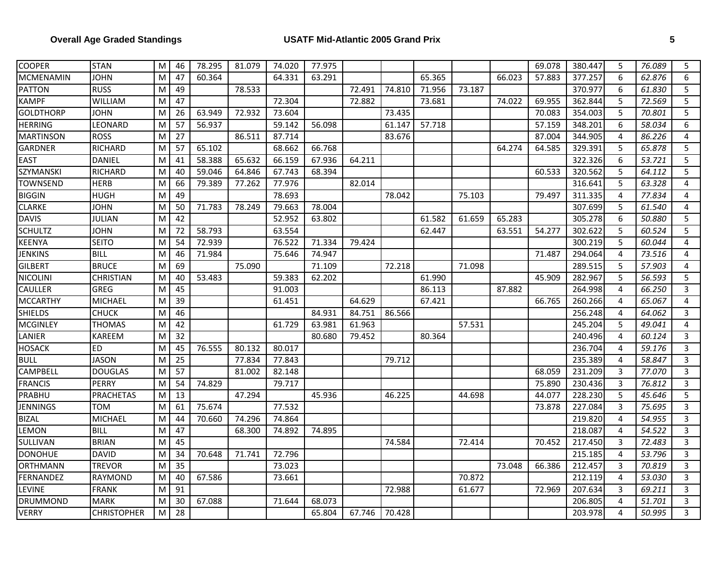| <b>COOPER</b>    | <b>STAN</b>        | M | 46 | 78.295 | 81.079 | 74.020 | 77.975 |        |        |        |        |        | 69.078 | 380.447 | 5                | 76.089 | 5              |
|------------------|--------------------|---|----|--------|--------|--------|--------|--------|--------|--------|--------|--------|--------|---------|------------------|--------|----------------|
| <b>MCMENAMIN</b> | <b>JOHN</b>        | M | 47 | 60.364 |        | 64.331 | 63.291 |        |        | 65.365 |        | 66.023 | 57.883 | 377.257 | 6                | 62.876 | 6              |
| <b>PATTON</b>    | <b>RUSS</b>        | M | 49 |        | 78.533 |        |        | 72.491 | 74.810 | 71.956 | 73.187 |        |        | 370.977 | 6                | 61.830 | 5              |
| <b>KAMPF</b>     | WILLIAM            | M | 47 |        |        | 72.304 |        | 72.882 |        | 73.681 |        | 74.022 | 69.955 | 362.844 | 5                | 72.569 | 5              |
| <b>GOLDTHORP</b> | <b>JOHN</b>        | M | 26 | 63.949 | 72.932 | 73.604 |        |        | 73.435 |        |        |        | 70.083 | 354.003 | 5                | 70.801 | 5              |
| <b>HERRING</b>   | LEONARD            | M | 57 | 56.937 |        | 59.142 | 56.098 |        | 61.147 | 57.718 |        |        | 57.159 | 348.201 | 6                | 58.034 | 6              |
| <b>MARTINSON</b> | <b>ROSS</b>        | M | 27 |        | 86.511 | 87.714 |        |        | 83.676 |        |        |        | 87.004 | 344.905 | 4                | 86.226 | $\overline{4}$ |
| <b>GARDNER</b>   | <b>RICHARD</b>     | M | 57 | 65.102 |        | 68.662 | 66.768 |        |        |        |        | 64.274 | 64.585 | 329.391 | 5                | 65.878 | 5              |
| <b>EAST</b>      | <b>DANIEL</b>      | M | 41 | 58.388 | 65.632 | 66.159 | 67.936 | 64.211 |        |        |        |        |        | 322.326 | 6                | 53.721 | 5              |
| SZYMANSKI        | RICHARD            | M | 40 | 59.046 | 64.846 | 67.743 | 68.394 |        |        |        |        |        | 60.533 | 320.562 | 5                | 64.112 | 5              |
| <b>TOWNSEND</b>  | <b>HERB</b>        | M | 66 | 79.389 | 77.262 | 77.976 |        | 82.014 |        |        |        |        |        | 316.641 | 5                | 63.328 | 4              |
| <b>BIGGIN</b>    | <b>HUGH</b>        | M | 49 |        |        | 78.693 |        |        | 78.042 |        | 75.103 |        | 79.497 | 311.335 | $\overline{4}$   | 77.834 | $\overline{4}$ |
| <b>CLARKE</b>    | <b>JOHN</b>        | M | 50 | 71.783 | 78.249 | 79.663 | 78.004 |        |        |        |        |        |        | 307.699 | 5                | 61.540 | $\overline{4}$ |
| <b>DAVIS</b>     | <b>JULIAN</b>      | M | 42 |        |        | 52.952 | 63.802 |        |        | 61.582 | 61.659 | 65.283 |        | 305.278 | $\boldsymbol{6}$ | 50.880 | 5              |
| <b>SCHULTZ</b>   | JOHN               | M | 72 | 58.793 |        | 63.554 |        |        |        | 62.447 |        | 63.551 | 54.277 | 302.622 | 5                | 60.524 | 5              |
| <b>KEENYA</b>    | <b>SEITO</b>       | M | 54 | 72.939 |        | 76.522 | 71.334 | 79.424 |        |        |        |        |        | 300.219 | 5                | 60.044 | 4              |
| <b>JENKINS</b>   | <b>BILL</b>        | M | 46 | 71.984 |        | 75.646 | 74.947 |        |        |        |        |        | 71.487 | 294.064 | 4                | 73.516 | $\overline{4}$ |
| <b>GILBERT</b>   | <b>BRUCE</b>       | M | 69 |        | 75.090 |        | 71.109 |        | 72.218 |        | 71.098 |        |        | 289.515 | 5                | 57.903 | $\overline{4}$ |
| <b>NICOLINI</b>  | <b>CHRISTIAN</b>   | M | 40 | 53.483 |        | 59.383 | 62.202 |        |        | 61.990 |        |        | 45.909 | 282.967 | 5                | 56.593 | 5              |
| <b>CAULLER</b>   | GREG               | M | 45 |        |        | 91.003 |        |        |        | 86.113 |        | 87.882 |        | 264.998 | 4                | 66.250 | 3              |
| <b>MCCARTHY</b>  | MICHAEL            | M | 39 |        |        | 61.451 |        | 64.629 |        | 67.421 |        |        | 66.765 | 260.266 | 4                | 65.067 | $\overline{4}$ |
| <b>SHIELDS</b>   | <b>CHUCK</b>       | M | 46 |        |        |        | 84.931 | 84.751 | 86.566 |        |        |        |        | 256.248 | 4                | 64.062 | 3              |
| <b>MCGINLEY</b>  | <b>THOMAS</b>      | M | 42 |        |        | 61.729 | 63.981 | 61.963 |        |        | 57.531 |        |        | 245.204 | 5                | 49.041 | $\overline{4}$ |
| LANIER           | KAREEM             | M | 32 |        |        |        | 80.680 | 79.452 |        | 80.364 |        |        |        | 240.496 | 4                | 60.124 | 3              |
| <b>HOSACK</b>    | <b>ED</b>          | M | 45 | 76.555 | 80.132 | 80.017 |        |        |        |        |        |        |        | 236.704 | 4                | 59.176 | 3              |
| <b>BULL</b>      | <b>JASON</b>       | M | 25 |        | 77.834 | 77.843 |        |        | 79.712 |        |        |        |        | 235.389 | 4                | 58.847 | $\mathsf{3}$   |
| CAMPBELL         | <b>DOUGLAS</b>     | M | 57 |        | 81.002 | 82.148 |        |        |        |        |        |        | 68.059 | 231.209 | 3                | 77.070 | $\mathbf{3}$   |
| <b>FRANCIS</b>   | PERRY              | M | 54 | 74.829 |        | 79.717 |        |        |        |        |        |        | 75.890 | 230.436 | $\overline{3}$   | 76.812 | $\overline{3}$ |
| PRABHU           | <b>PRACHETAS</b>   | M | 13 |        | 47.294 |        | 45.936 |        | 46.225 |        | 44.698 |        | 44.077 | 228.230 | 5                | 45.646 | 5              |
| <b>JENNINGS</b>  | TOM                | M | 61 | 75.674 |        | 77.532 |        |        |        |        |        |        | 73.878 | 227.084 | 3                | 75.695 | 3              |
| <b>BIZAL</b>     | <b>MICHAEL</b>     | M | 44 | 70.660 | 74.296 | 74.864 |        |        |        |        |        |        |        | 219.820 | 4                | 54.955 | 3              |
| LEMON            | <b>BILL</b>        | M | 47 |        | 68.300 | 74.892 | 74.895 |        |        |        |        |        |        | 218.087 | 4                | 54.522 | 3              |
| SULLIVAN         | <b>BRIAN</b>       | M | 45 |        |        |        |        |        | 74.584 |        | 72.414 |        | 70.452 | 217.450 | 3                | 72.483 | $\overline{3}$ |
| <b>DONOHUE</b>   | <b>DAVID</b>       | M | 34 | 70.648 | 71.741 | 72.796 |        |        |        |        |        |        |        | 215.185 | 4                | 53.796 | 3              |
| <b>ORTHMANN</b>  | <b>TREVOR</b>      | M | 35 |        |        | 73.023 |        |        |        |        |        | 73.048 | 66.386 | 212.457 | 3                | 70.819 | 3              |
| FERNANDEZ        | <b>RAYMOND</b>     | M | 40 | 67.586 |        | 73.661 |        |        |        |        | 70.872 |        |        | 212.119 | $\overline{4}$   | 53.030 | 3              |
| LEVINE           | <b>FRANK</b>       | M | 91 |        |        |        |        |        | 72.988 |        | 61.677 |        | 72.969 | 207.634 | 3                | 69.211 | 3              |
| <b>DRUMMOND</b>  | <b>MARK</b>        | M | 30 | 67.088 |        | 71.644 | 68.073 |        |        |        |        |        |        | 206.805 | 4                | 51.701 | $\mathsf{3}$   |
| <b>VERRY</b>     | <b>CHRISTOPHER</b> | M | 28 |        |        |        | 65.804 | 67.746 | 70.428 |        |        |        |        | 203.978 | 4                | 50.995 | 3              |
|                  |                    |   |    |        |        |        |        |        |        |        |        |        |        |         |                  |        |                |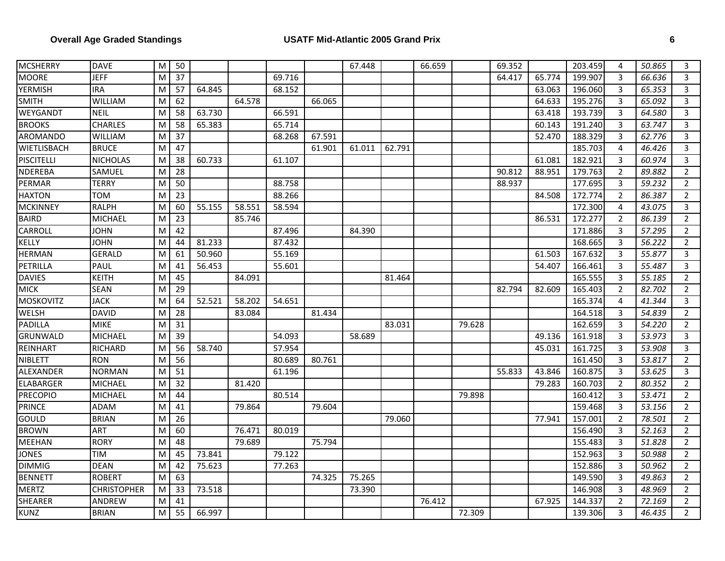| <b>MCSHERRY</b>   | <b>DAVE</b>        | M | 50              |        |        |        |        | 67.448 |        | 66.659 |        | 69.352 |        | 203.459 | 4              | 50.865 | 3              |
|-------------------|--------------------|---|-----------------|--------|--------|--------|--------|--------|--------|--------|--------|--------|--------|---------|----------------|--------|----------------|
| <b>MOORE</b>      | <b>JEFF</b>        | M | $\overline{37}$ |        |        | 69.716 |        |        |        |        |        | 64.417 | 65.774 | 199.907 | 3              | 66.636 | 3              |
| <b>YERMISH</b>    | <b>IRA</b>         | M | 57              | 64.845 |        | 68.152 |        |        |        |        |        |        | 63.063 | 196.060 | 3              | 65.353 | 3              |
| <b>SMITH</b>      | <b>WILLIAM</b>     | M | 62              |        | 64.578 |        | 66.065 |        |        |        |        |        | 64.633 | 195.276 | 3              | 65.092 | $\mathbf{3}$   |
| WEYGANDT          | <b>NEIL</b>        | M | 58              | 63.730 |        | 66.591 |        |        |        |        |        |        | 63.418 | 193.739 | $\overline{3}$ | 64.580 | $\mathbf{3}$   |
| <b>BROOKS</b>     | <b>CHARLES</b>     | M | 58              | 65.383 |        | 65.714 |        |        |        |        |        |        | 60.143 | 191.240 | $\mathbf{3}$   | 63.747 | $\mathbf{3}$   |
| AROMANDO          | WILLIAM            | M | 37              |        |        | 68.268 | 67.591 |        |        |        |        |        | 52.470 | 188.329 | 3              | 62.776 | 3              |
| WIETLISBACH       | <b>BRUCE</b>       | M | 47              |        |        |        | 61.901 | 61.011 | 62.791 |        |        |        |        | 185.703 | 4              | 46.426 | 3              |
| <b>PISCITELLI</b> | <b>NICHOLAS</b>    | M | 38              | 60.733 |        | 61.107 |        |        |        |        |        |        | 61.081 | 182.921 | $\mathbf{3}$   | 60.974 | $\mathbf{3}$   |
| <b>NDEREBA</b>    | SAMUEL             | M | 28              |        |        |        |        |        |        |        |        | 90.812 | 88.951 | 179.763 | $\overline{2}$ | 89.882 | $\overline{2}$ |
| PERMAR            | <b>TERRY</b>       | M | 50              |        |        | 88.758 |        |        |        |        |        | 88.937 |        | 177.695 | $\mathbf{3}$   | 59.232 | $\overline{2}$ |
| <b>HAXTON</b>     | <b>TOM</b>         | M | 23              |        |        | 88.266 |        |        |        |        |        |        | 84.508 | 172.774 | $\overline{2}$ | 86.387 | $\overline{2}$ |
| <b>MCKINNEY</b>   | <b>RALPH</b>       | M | 60              | 55.155 | 58.551 | 58.594 |        |        |        |        |        |        |        | 172.300 | 4              | 43.075 | 3              |
| <b>BAIRD</b>      | <b>MICHAEL</b>     | M | 23              |        | 85.746 |        |        |        |        |        |        |        | 86.531 | 172.277 | $\overline{2}$ | 86.139 | $\overline{2}$ |
| <b>CARROLL</b>    | <b>JOHN</b>        | M | 42              |        |        | 87.496 |        | 84.390 |        |        |        |        |        | 171.886 | 3              | 57.295 | $\overline{2}$ |
| <b>KELLY</b>      | <b>JOHN</b>        | M | 44              | 81.233 |        | 87.432 |        |        |        |        |        |        |        | 168.665 | 3              | 56.222 | $\overline{2}$ |
| <b>HERMAN</b>     | <b>GERALD</b>      | M | 61              | 50.960 |        | 55.169 |        |        |        |        |        |        | 61.503 | 167.632 | 3              | 55.877 | 3              |
| <b>PETRILLA</b>   | PAUL               | M | 41              | 56.453 |        | 55.601 |        |        |        |        |        |        | 54.407 | 166.461 | $\mathbf{3}$   | 55.487 | $\mathbf{3}$   |
| <b>DAVIES</b>     | <b>KEITH</b>       | M | 45              |        | 84.091 |        |        |        | 81.464 |        |        |        |        | 165.555 | 3              | 55.185 | $\overline{2}$ |
| <b>MICK</b>       | <b>SEAN</b>        | M | 29              |        |        |        |        |        |        |        |        | 82.794 | 82.609 | 165.403 | $\overline{2}$ | 82.702 | $\overline{2}$ |
| <b>MOSKOVITZ</b>  | <b>JACK</b>        | M | 64              | 52.521 | 58.202 | 54.651 |        |        |        |        |        |        |        | 165.374 | 4              | 41.344 | $\mathbf{3}$   |
| WELSH             | <b>DAVID</b>       | M | 28              |        | 83.084 |        | 81.434 |        |        |        |        |        |        | 164.518 | 3              | 54.839 | $\overline{2}$ |
| PADILLA           | <b>MIKE</b>        | M | 31              |        |        |        |        |        | 83.031 |        | 79.628 |        |        | 162.659 | 3              | 54.220 | $\overline{2}$ |
| <b>GRUNWALD</b>   | <b>MICHAEL</b>     | M | $\overline{39}$ |        |        | 54.093 |        | 58.689 |        |        |        |        | 49.136 | 161.918 | $\mathsf{3}$   | 53.973 | $\mathsf{3}$   |
| REINHART          | <b>RICHARD</b>     | M | 56              | 58.740 |        | 57.954 |        |        |        |        |        |        | 45.031 | 161.725 | 3              | 53.908 | 3              |
| NIBLETT           | <b>RON</b>         | M | 56              |        |        | 80.689 | 80.761 |        |        |        |        |        |        | 161.450 | 3              | 53.817 | $\overline{2}$ |
| ALEXANDER         | <b>NORMAN</b>      | M | 51              |        |        | 61.196 |        |        |        |        |        | 55.833 | 43.846 | 160.875 | 3              | 53.625 | $\mathbf{3}$   |
| <b>ELABARGER</b>  | <b>MICHAEL</b>     | M | 32              |        | 81.420 |        |        |        |        |        |        |        | 79.283 | 160.703 | $\overline{2}$ | 80.352 | $\overline{2}$ |
| <b>PRECOPIO</b>   | <b>MICHAEL</b>     | M | 44              |        |        | 80.514 |        |        |        |        | 79.898 |        |        | 160.412 | 3              | 53.471 | $\overline{2}$ |
| <b>PRINCE</b>     | <b>ADAM</b>        | M | 41              |        | 79.864 |        | 79.604 |        |        |        |        |        |        | 159.468 | 3              | 53.156 | $\overline{2}$ |
| <b>GOULD</b>      | <b>BRIAN</b>       | M | 26              |        |        |        |        |        | 79.060 |        |        |        | 77.941 | 157.001 | 2              | 78.501 | $\overline{2}$ |
| <b>BROWN</b>      | ART                | M | 60              |        | 76.471 | 80.019 |        |        |        |        |        |        |        | 156.490 | 3              | 52.163 | $\overline{2}$ |
| MEEHAN            | <b>RORY</b>        | M | 48              |        | 79.689 |        | 75.794 |        |        |        |        |        |        | 155.483 | 3              | 51.828 | $\overline{2}$ |
| <b>JONES</b>      | <b>TIM</b>         | M | 45              | 73.841 |        | 79.122 |        |        |        |        |        |        |        | 152.963 | 3              | 50.988 | 2              |
| <b>DIMMIG</b>     | <b>DEAN</b>        | M | 42              | 75.623 |        | 77.263 |        |        |        |        |        |        |        | 152.886 | $\mathbf{3}$   | 50.962 | $\overline{2}$ |
| <b>BENNETT</b>    | <b>ROBERT</b>      | M | 63              |        |        |        | 74.325 | 75.265 |        |        |        |        |        | 149.590 | $\mathbf{3}$   | 49.863 | $\overline{2}$ |
| <b>MERTZ</b>      | <b>CHRISTOPHER</b> | M | 33              | 73.518 |        |        |        | 73.390 |        |        |        |        |        | 146.908 | 3              | 48.969 | $\overline{2}$ |
| SHEARER           | ANDREW             | M | 41              |        |        |        |        |        |        | 76.412 |        |        | 67.925 | 144.337 | $\overline{2}$ | 72.169 | $\overline{2}$ |
| <b>KUNZ</b>       | <b>BRIAN</b>       | M | 55              | 66.997 |        |        |        |        |        |        | 72.309 |        |        | 139.306 | 3              | 46.435 | $\overline{2}$ |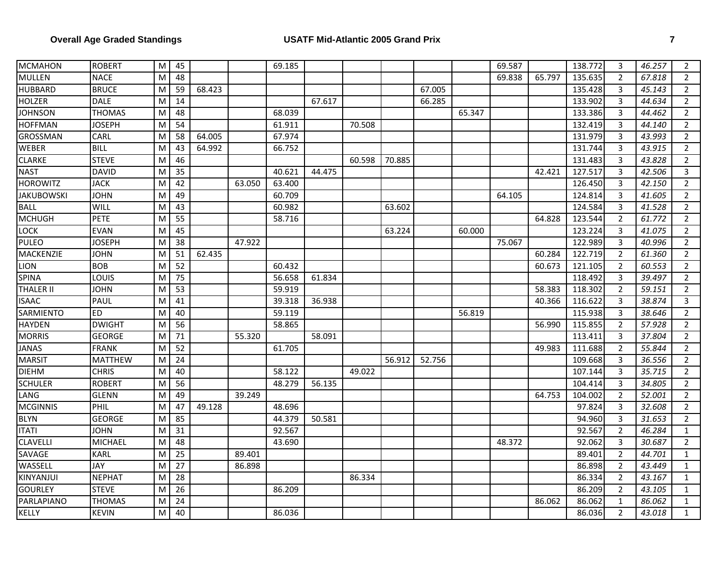| <b>MCMAHON</b>    | <b>ROBERT</b>  | M | 45 |        |        | 69.185 |        |        |        |        |        | 69.587 |        | 138.772 | 3              | 46.257 | $\overline{2}$ |
|-------------------|----------------|---|----|--------|--------|--------|--------|--------|--------|--------|--------|--------|--------|---------|----------------|--------|----------------|
| <b>MULLEN</b>     | <b>NACE</b>    | M | 48 |        |        |        |        |        |        |        |        | 69.838 | 65.797 | 135.635 | 2              | 67.818 | $\overline{2}$ |
| <b>HUBBARD</b>    | <b>BRUCE</b>   | M | 59 | 68.423 |        |        |        |        |        | 67.005 |        |        |        | 135.428 | 3              | 45.143 | $\overline{2}$ |
| <b>HOLZER</b>     | <b>DALE</b>    | M | 14 |        |        |        | 67.617 |        |        | 66.285 |        |        |        | 133.902 | 3              | 44.634 | $\overline{2}$ |
| <b>JOHNSON</b>    | <b>THOMAS</b>  | M | 48 |        |        | 68.039 |        |        |        |        | 65.347 |        |        | 133.386 | 3              | 44.462 | $\overline{2}$ |
| <b>HOFFMAN</b>    | <b>JOSEPH</b>  | M | 54 |        |        | 61.911 |        | 70.508 |        |        |        |        |        | 132.419 | 3              | 44.140 | $\overline{2}$ |
| GROSSMAN          | CARL           | M | 58 | 64.005 |        | 67.974 |        |        |        |        |        |        |        | 131.979 | 3              | 43.993 | $\overline{2}$ |
| WEBER             | <b>BILL</b>    | M | 43 | 64.992 |        | 66.752 |        |        |        |        |        |        |        | 131.744 | 3              | 43.915 | $\overline{2}$ |
| <b>CLARKE</b>     | <b>STEVE</b>   | M | 46 |        |        |        |        | 60.598 | 70.885 |        |        |        |        | 131.483 | 3              | 43.828 | 2              |
| <b>NAST</b>       | <b>DAVID</b>   | M | 35 |        |        | 40.621 | 44.475 |        |        |        |        |        | 42.421 | 127.517 | 3              | 42.506 | 3              |
| <b>HOROWITZ</b>   | <b>JACK</b>    | M | 42 |        | 63.050 | 63.400 |        |        |        |        |        |        |        | 126.450 | 3              | 42.150 | $\overline{2}$ |
| <b>JAKUBOWSKI</b> | <b>JOHN</b>    | M | 49 |        |        | 60.709 |        |        |        |        |        | 64.105 |        | 124.814 | 3              | 41.605 | $\overline{2}$ |
| <b>BALL</b>       | WILL           | M | 43 |        |        | 60.982 |        |        | 63.602 |        |        |        |        | 124.584 | 3              | 41.528 | $\overline{2}$ |
| <b>MCHUGH</b>     | PETE           | M | 55 |        |        | 58.716 |        |        |        |        |        |        | 64.828 | 123.544 | $\overline{2}$ | 61.772 | 2              |
| <b>LOCK</b>       | <b>EVAN</b>    | M | 45 |        |        |        |        |        | 63.224 |        | 60.000 |        |        | 123.224 | 3              | 41.075 | $\overline{2}$ |
| <b>PULEO</b>      | <b>JOSEPH</b>  | M | 38 |        | 47.922 |        |        |        |        |        |        | 75.067 |        | 122.989 | 3              | 40.996 | $\overline{2}$ |
| MACKENZIE         | <b>JOHN</b>    | M | 51 | 62.435 |        |        |        |        |        |        |        |        | 60.284 | 122.719 | $\overline{2}$ | 61.360 | $\overline{2}$ |
| <b>LION</b>       | <b>BOB</b>     | M | 52 |        |        | 60.432 |        |        |        |        |        |        | 60.673 | 121.105 | 2              | 60.553 | $\overline{2}$ |
| <b>SPINA</b>      | LOUIS          | M | 75 |        |        | 56.658 | 61.834 |        |        |        |        |        |        | 118.492 | 3              | 39.497 | $\overline{2}$ |
| <b>THALER II</b>  | <b>JOHN</b>    | M | 53 |        |        | 59.919 |        |        |        |        |        |        | 58.383 | 118.302 | $\overline{2}$ | 59.151 | $\overline{2}$ |
| <b>ISAAC</b>      | PAUL           | M | 41 |        |        | 39.318 | 36.938 |        |        |        |        |        | 40.366 | 116.622 | 3              | 38.874 | 3              |
| SARMIENTO         | E <sub>D</sub> | M | 40 |        |        | 59.119 |        |        |        |        | 56.819 |        |        | 115.938 | 3              | 38.646 | $\overline{2}$ |
| <b>HAYDEN</b>     | <b>DWIGHT</b>  | M | 56 |        |        | 58.865 |        |        |        |        |        |        | 56.990 | 115.855 | $\overline{2}$ | 57.928 | $\overline{2}$ |
| <b>MORRIS</b>     | <b>GEORGE</b>  | M | 71 |        | 55.320 |        | 58.091 |        |        |        |        |        |        | 113.411 | 3              | 37.804 | $\overline{2}$ |
| <b>JANAS</b>      | <b>FRANK</b>   | M | 52 |        |        | 61.705 |        |        |        |        |        |        | 49.983 | 111.688 | $\overline{2}$ | 55.844 | $\overline{2}$ |
| <b>MARSIT</b>     | <b>MATTHEW</b> | M | 24 |        |        |        |        |        | 56.912 | 52.756 |        |        |        | 109.668 | 3              | 36.556 | $\overline{2}$ |
| <b>DIEHM</b>      | <b>CHRIS</b>   | M | 40 |        |        | 58.122 |        | 49.022 |        |        |        |        |        | 107.144 | 3              | 35.715 | $\overline{2}$ |
| <b>SCHULER</b>    | <b>ROBERT</b>  | M | 56 |        |        | 48.279 | 56.135 |        |        |        |        |        |        | 104.414 | 3              | 34.805 | $\overline{2}$ |
| LANG              | <b>GLENN</b>   | M | 49 |        | 39.249 |        |        |        |        |        |        |        | 64.753 | 104.002 | $\overline{2}$ | 52.001 | $\overline{2}$ |
| <b>MCGINNIS</b>   | PHIL           | M | 47 | 49.128 |        | 48.696 |        |        |        |        |        |        |        | 97.824  | 3              | 32.608 | $\overline{2}$ |
| <b>BLYN</b>       | <b>GEORGE</b>  | M | 85 |        |        | 44.379 | 50.581 |        |        |        |        |        |        | 94.960  | 3              | 31.653 | $\overline{2}$ |
| <b>ITATI</b>      | <b>JOHN</b>    | M | 31 |        |        | 92.567 |        |        |        |        |        |        |        | 92.567  | $\overline{2}$ | 46.284 | $\mathbf{1}$   |
| <b>CLAVELLI</b>   | <b>MICHAEL</b> | M | 48 |        |        | 43.690 |        |        |        |        |        | 48.372 |        | 92.062  | 3              | 30.687 | $\overline{2}$ |
| SAVAGE            | <b>KARL</b>    | M | 25 |        | 89.401 |        |        |        |        |        |        |        |        | 89.401  | $\overline{2}$ | 44.701 | 1              |
| WASSELL           | JAY            | M | 27 |        | 86.898 |        |        |        |        |        |        |        |        | 86.898  | $\overline{2}$ | 43.449 | $\mathbf{1}$   |
| KINYANJUI         | <b>NEPHAT</b>  | M | 28 |        |        |        |        | 86.334 |        |        |        |        |        | 86.334  | $\overline{2}$ | 43.167 | $\mathbf{1}$   |
| <b>GOURLEY</b>    | <b>STEVE</b>   | M | 26 |        |        | 86.209 |        |        |        |        |        |        |        | 86.209  | $\overline{2}$ | 43.105 | $\mathbf{1}$   |
| PARLAPIANO        | THOMAS         | M | 24 |        |        |        |        |        |        |        |        |        | 86.062 | 86.062  | $\mathbf{1}$   | 86.062 | $\mathbf{1}$   |
| <b>KELLY</b>      | <b>KEVIN</b>   | M | 40 |        |        | 86.036 |        |        |        |        |        |        |        | 86.036  | $\overline{2}$ | 43.018 | $\mathbf{1}$   |
|                   |                |   |    |        |        |        |        |        |        |        |        |        |        |         |                |        |                |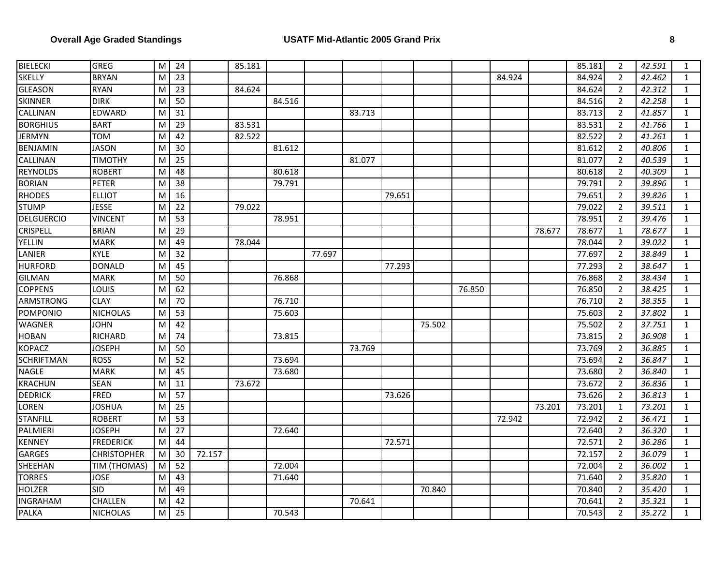| <b>BIELECKI</b>   | <b>GREG</b>        | M | 24              |        | 85.181 |        |        |        |        |        |        |        |        | 85.181 | $\overline{2}$ | 42.591 | $\mathbf{1}$ |
|-------------------|--------------------|---|-----------------|--------|--------|--------|--------|--------|--------|--------|--------|--------|--------|--------|----------------|--------|--------------|
| <b>SKELLY</b>     | <b>BRYAN</b>       | M | $\overline{23}$ |        |        |        |        |        |        |        |        | 84.924 |        | 84.924 | $\overline{2}$ | 42.462 | $\mathbf{1}$ |
| <b>GLEASON</b>    | <b>RYAN</b>        | M | 23              |        | 84.624 |        |        |        |        |        |        |        |        | 84.624 | 2              | 42.312 | $\mathbf{1}$ |
| <b>SKINNER</b>    | <b>DIRK</b>        | M | 50              |        |        | 84.516 |        |        |        |        |        |        |        | 84.516 | $\overline{2}$ | 42.258 | $\mathbf{1}$ |
| <b>CALLINAN</b>   | <b>EDWARD</b>      | M | 31              |        |        |        |        | 83.713 |        |        |        |        |        | 83.713 | $\overline{2}$ | 41.857 | $\mathbf{1}$ |
| <b>BORGHIUS</b>   | <b>BART</b>        | M | 29              |        | 83.531 |        |        |        |        |        |        |        |        | 83.531 | $\overline{2}$ | 41.766 | $\mathbf{1}$ |
| <b>JERMYN</b>     | TOM                | M | 42              |        | 82.522 |        |        |        |        |        |        |        |        | 82.522 | $\overline{2}$ | 41.261 | $\mathbf{1}$ |
| <b>BENJAMIN</b>   | <b>JASON</b>       | M | 30              |        |        | 81.612 |        |        |        |        |        |        |        | 81.612 | $\overline{2}$ | 40.806 | $\mathbf{1}$ |
| CALLINAN          | <b>TIMOTHY</b>     | M | 25              |        |        |        |        | 81.077 |        |        |        |        |        | 81.077 | $\overline{2}$ | 40.539 | $\mathbf{1}$ |
| <b>REYNOLDS</b>   | <b>ROBERT</b>      | M | 48              |        |        | 80.618 |        |        |        |        |        |        |        | 80.618 | $\overline{2}$ | 40.309 | $\mathbf{1}$ |
| <b>BORIAN</b>     | <b>PETER</b>       | M | 38              |        |        | 79.791 |        |        |        |        |        |        |        | 79.791 | $\overline{2}$ | 39.896 | $\mathbf{1}$ |
| <b>RHODES</b>     | <b>ELLIOT</b>      | M | $\overline{16}$ |        |        |        |        |        | 79.651 |        |        |        |        | 79.651 | $\overline{2}$ | 39.826 | $\mathbf{1}$ |
| <b>STUMP</b>      | <b>JESSE</b>       | M | 22              |        | 79.022 |        |        |        |        |        |        |        |        | 79.022 | 2              | 39.511 | $\mathbf{1}$ |
| <b>DELGUERCIO</b> | <b>VINCENT</b>     | M | $\overline{53}$ |        |        | 78.951 |        |        |        |        |        |        |        | 78.951 | $\overline{2}$ | 39.476 | $\mathbf{1}$ |
| <b>CRISPELL</b>   | <b>BRIAN</b>       | M | 29              |        |        |        |        |        |        |        |        |        | 78.677 | 78.677 | $\mathbf{1}$   | 78.677 | $\mathbf{1}$ |
| <b>YELLIN</b>     | <b>MARK</b>        | M | 49              |        | 78.044 |        |        |        |        |        |        |        |        | 78.044 | $\overline{2}$ | 39.022 | $\mathbf{1}$ |
| LANIER            | <b>KYLE</b>        | M | 32              |        |        |        | 77.697 |        |        |        |        |        |        | 77.697 | $\overline{2}$ | 38.849 | $\mathbf{1}$ |
| <b>HURFORD</b>    | <b>DONALD</b>      | M | 45              |        |        |        |        |        | 77.293 |        |        |        |        | 77.293 | $\overline{2}$ | 38.647 | $\mathbf{1}$ |
| <b>GILMAN</b>     | <b>MARK</b>        | M | 50              |        |        | 76.868 |        |        |        |        |        |        |        | 76.868 | $\overline{2}$ | 38.434 | $\mathbf{1}$ |
| <b>COPPENS</b>    | LOUIS              | M | 62              |        |        |        |        |        |        |        | 76.850 |        |        | 76.850 | $\overline{2}$ | 38.425 | $\mathbf{1}$ |
| ARMSTRONG         | <b>CLAY</b>        | M | 70              |        |        | 76.710 |        |        |        |        |        |        |        | 76.710 | $\overline{2}$ | 38.355 | $\mathbf{1}$ |
| POMPONIO          | <b>NICHOLAS</b>    | M | 53              |        |        | 75.603 |        |        |        |        |        |        |        | 75.603 | $\overline{2}$ | 37.802 | $\mathbf{1}$ |
| <b>WAGNER</b>     | <b>JOHN</b>        | M | 42              |        |        |        |        |        |        | 75.502 |        |        |        | 75.502 | $\overline{2}$ | 37.751 | $\mathbf{1}$ |
| <b>HOBAN</b>      | <b>RICHARD</b>     | M | 74              |        |        | 73.815 |        |        |        |        |        |        |        | 73.815 | $\overline{2}$ | 36.908 | $\mathbf{1}$ |
| <b>KOPACZ</b>     | <b>JOSEPH</b>      | M | 50              |        |        |        |        | 73.769 |        |        |        |        |        | 73.769 | $\overline{2}$ | 36.885 | $\mathbf{1}$ |
| <b>SCHRIFTMAN</b> | <b>ROSS</b>        | M | 52              |        |        | 73.694 |        |        |        |        |        |        |        | 73.694 | $\overline{2}$ | 36.847 | $\mathbf{1}$ |
| <b>NAGLE</b>      | <b>MARK</b>        | M | 45              |        |        | 73.680 |        |        |        |        |        |        |        | 73.680 | $\overline{2}$ | 36.840 | $\mathbf{1}$ |
| <b>KRACHUN</b>    | <b>SEAN</b>        | M | 11              |        | 73.672 |        |        |        |        |        |        |        |        | 73.672 | $\overline{2}$ | 36.836 | $\mathbf{1}$ |
| <b>DEDRICK</b>    | <b>FRED</b>        | M | 57              |        |        |        |        |        | 73.626 |        |        |        |        | 73.626 | $\overline{2}$ | 36.813 | $\mathbf{1}$ |
| LOREN             | <b>JOSHUA</b>      | M | 25              |        |        |        |        |        |        |        |        |        | 73.201 | 73.201 | $\mathbf{1}$   | 73.201 | $\mathbf{1}$ |
| <b>STANFILL</b>   | <b>ROBERT</b>      | M | 53              |        |        |        |        |        |        |        |        | 72.942 |        | 72.942 | $\overline{2}$ | 36.471 | $\mathbf{1}$ |
| PALMIERI          | <b>JOSEPH</b>      | M | 27              |        |        | 72.640 |        |        |        |        |        |        |        | 72.640 | $\overline{2}$ | 36.320 | $\mathbf{1}$ |
| <b>KENNEY</b>     | <b>FREDERICK</b>   | M | 44              |        |        |        |        |        | 72.571 |        |        |        |        | 72.571 | $\overline{2}$ | 36.286 | $\mathbf{1}$ |
| <b>GARGES</b>     | <b>CHRISTOPHER</b> | M | 30              | 72.157 |        |        |        |        |        |        |        |        |        | 72.157 | $\overline{2}$ | 36.079 | $\mathbf{1}$ |
| <b>SHEEHAN</b>    | TIM (THOMAS)       | M | 52              |        |        | 72.004 |        |        |        |        |        |        |        | 72.004 | $\overline{2}$ | 36.002 | $\mathbf{1}$ |
| <b>TORRES</b>     | <b>JOSE</b>        | M | 43              |        |        | 71.640 |        |        |        |        |        |        |        | 71.640 | $\overline{2}$ | 35.820 | $\mathbf{1}$ |
| <b>HOLZER</b>     | <b>SID</b>         | M | 49              |        |        |        |        |        |        | 70.840 |        |        |        | 70.840 | $\overline{2}$ | 35.420 | $\mathbf{1}$ |
| <b>INGRAHAM</b>   | CHALLEN            | M | 42              |        |        |        |        | 70.641 |        |        |        |        |        | 70.641 | $\overline{2}$ | 35.321 | $\mathbf{1}$ |
| <b>PALKA</b>      | <b>NICHOLAS</b>    | M | 25              |        |        | 70.543 |        |        |        |        |        |        |        | 70.543 | $\overline{2}$ | 35.272 | $\mathbf{1}$ |
|                   |                    |   |                 |        |        |        |        |        |        |        |        |        |        |        |                |        |              |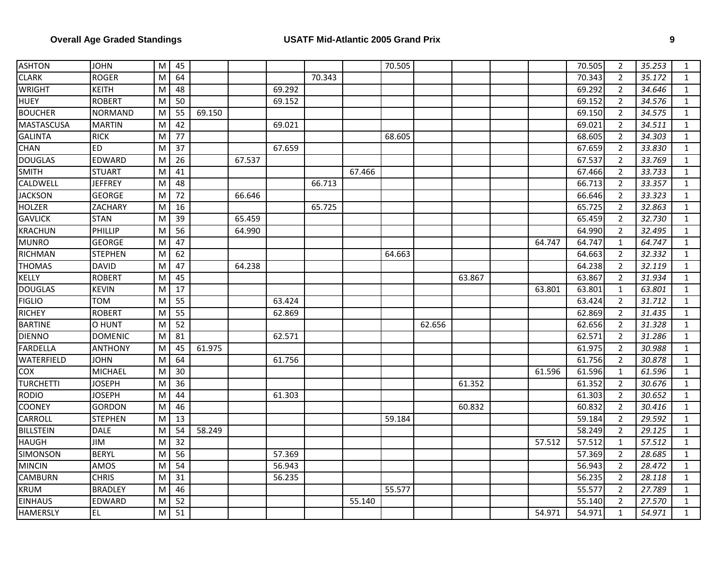| <b>ASHTON</b>     | <b>JOHN</b>    | M | 45 |        |        |        |        |        | 70.505 |        |        |        | 70.505 | 2              | 35.253 | $\mathbf{1}$ |
|-------------------|----------------|---|----|--------|--------|--------|--------|--------|--------|--------|--------|--------|--------|----------------|--------|--------------|
| <b>CLARK</b>      | <b>ROGER</b>   | M | 64 |        |        |        | 70.343 |        |        |        |        |        | 70.343 | $\overline{2}$ | 35.172 | $\mathbf{1}$ |
| <b>WRIGHT</b>     | <b>KEITH</b>   | M | 48 |        |        | 69.292 |        |        |        |        |        |        | 69.292 | $\overline{2}$ | 34.646 | $\mathbf{1}$ |
| <b>HUEY</b>       | <b>ROBERT</b>  | M | 50 |        |        | 69.152 |        |        |        |        |        |        | 69.152 | $\overline{2}$ | 34.576 | $\mathbf{1}$ |
| <b>BOUCHER</b>    | <b>NORMAND</b> | M | 55 | 69.150 |        |        |        |        |        |        |        |        | 69.150 | $\overline{2}$ | 34.575 | $\mathbf{1}$ |
| <b>MASTASCUSA</b> | <b>MARTIN</b>  | M | 42 |        |        | 69.021 |        |        |        |        |        |        | 69.021 | 2              | 34.511 | $\mathbf{1}$ |
| <b>GALINTA</b>    | <b>RICK</b>    | M | 77 |        |        |        |        |        | 68.605 |        |        |        | 68.605 | $\overline{2}$ | 34.303 | $\mathbf{1}$ |
| CHAN              | <b>ED</b>      | M | 37 |        |        | 67.659 |        |        |        |        |        |        | 67.659 | $\overline{2}$ | 33.830 | $\mathbf{1}$ |
| <b>DOUGLAS</b>    | EDWARD         | M | 26 |        | 67.537 |        |        |        |        |        |        |        | 67.537 | $\overline{2}$ | 33.769 | $\mathbf{1}$ |
| <b>SMITH</b>      | <b>STUART</b>  | M | 41 |        |        |        |        | 67.466 |        |        |        |        | 67.466 | $\overline{2}$ | 33.733 | $\mathbf{1}$ |
| CALDWELL          | <b>JEFFREY</b> | M | 48 |        |        |        | 66.713 |        |        |        |        |        | 66.713 | $\overline{2}$ | 33.357 | $\mathbf 1$  |
| <b>JACKSON</b>    | <b>GEORGE</b>  | M | 72 |        | 66.646 |        |        |        |        |        |        |        | 66.646 | $\overline{2}$ | 33.323 | $\mathbf{1}$ |
| <b>HOLZER</b>     | ZACHARY        | M | 16 |        |        |        | 65.725 |        |        |        |        |        | 65.725 | $\overline{2}$ | 32.863 | $\mathbf{1}$ |
| <b>GAVLICK</b>    | <b>STAN</b>    | M | 39 |        | 65.459 |        |        |        |        |        |        |        | 65.459 | $\overline{2}$ | 32.730 | $\mathbf{1}$ |
| <b>KRACHUN</b>    | PHILLIP        | M | 56 |        | 64.990 |        |        |        |        |        |        |        | 64.990 | $\overline{2}$ | 32.495 | $\mathbf{1}$ |
| <b>MUNRO</b>      | <b>GEORGE</b>  | M | 47 |        |        |        |        |        |        |        |        | 64.747 | 64.747 | $\mathbf{1}$   | 64.747 | $\mathbf{1}$ |
| RICHMAN           | <b>STEPHEN</b> | M | 62 |        |        |        |        |        | 64.663 |        |        |        | 64.663 | $\overline{2}$ | 32.332 | $\mathbf{1}$ |
| <b>THOMAS</b>     | <b>DAVID</b>   | M | 47 |        | 64.238 |        |        |        |        |        |        |        | 64.238 | $\overline{2}$ | 32.119 | $\mathbf{1}$ |
| KELLY             | <b>ROBERT</b>  | M | 45 |        |        |        |        |        |        |        | 63.867 |        | 63.867 | $\overline{2}$ | 31.934 | $\mathbf{1}$ |
| <b>DOUGLAS</b>    | <b>KEVIN</b>   | M | 17 |        |        |        |        |        |        |        |        | 63.801 | 63.801 | $\mathbf{1}$   | 63.801 | $\mathbf{1}$ |
| <b>FIGLIO</b>     | <b>TOM</b>     | M | 55 |        |        | 63.424 |        |        |        |        |        |        | 63.424 | $\overline{2}$ | 31.712 | $\mathbf{1}$ |
| <b>RICHEY</b>     | <b>ROBERT</b>  | M | 55 |        |        | 62.869 |        |        |        |        |        |        | 62.869 | $\overline{2}$ | 31.435 | $\mathbf{1}$ |
| <b>BARTINE</b>    | O HUNT         | M | 52 |        |        |        |        |        |        | 62.656 |        |        | 62.656 | $\overline{2}$ | 31.328 | $\mathbf{1}$ |
| <b>DIENNO</b>     | <b>DOMENIC</b> | M | 81 |        |        | 62.571 |        |        |        |        |        |        | 62.571 | $\overline{2}$ | 31.286 | $\mathbf{1}$ |
| <b>FARDELLA</b>   | <b>ANTHONY</b> | M | 45 | 61.975 |        |        |        |        |        |        |        |        | 61.975 | $\overline{2}$ | 30.988 | $\mathbf{1}$ |
| <b>WATERFIELD</b> | <b>JOHN</b>    | M | 64 |        |        | 61.756 |        |        |        |        |        |        | 61.756 | $\overline{2}$ | 30.878 | $\mathbf{1}$ |
| <b>COX</b>        | MICHAEL        | M | 30 |        |        |        |        |        |        |        |        | 61.596 | 61.596 | $\mathbf{1}$   | 61.596 | $\mathbf{1}$ |
| <b>TURCHETTI</b>  | <b>JOSEPH</b>  | M | 36 |        |        |        |        |        |        |        | 61.352 |        | 61.352 | $\overline{2}$ | 30.676 | $\mathbf{1}$ |
| <b>RODIO</b>      | <b>JOSEPH</b>  | M | 44 |        |        | 61.303 |        |        |        |        |        |        | 61.303 | $\overline{2}$ | 30.652 | $\mathbf{1}$ |
| <b>COONEY</b>     | <b>GORDON</b>  | M | 46 |        |        |        |        |        |        |        | 60.832 |        | 60.832 | $\overline{2}$ | 30.416 | $\mathbf{1}$ |
| <b>CARROLL</b>    | <b>STEPHEN</b> | M | 13 |        |        |        |        |        | 59.184 |        |        |        | 59.184 | $\overline{2}$ | 29.592 | $\mathbf{1}$ |
| <b>BILLSTEIN</b>  | DALE           | M | 54 | 58.249 |        |        |        |        |        |        |        |        | 58.249 | $\overline{2}$ | 29.125 | $\mathbf{1}$ |
| <b>HAUGH</b>      | JIM            | M | 32 |        |        |        |        |        |        |        |        | 57.512 | 57.512 | $\mathbf{1}$   | 57.512 | $\mathbf{1}$ |
| <b>SIMONSON</b>   | <b>BERYL</b>   | M | 56 |        |        | 57.369 |        |        |        |        |        |        | 57.369 | $\overline{2}$ | 28.685 | $\mathbf{1}$ |
| <b>MINCIN</b>     | AMOS           | M | 54 |        |        | 56.943 |        |        |        |        |        |        | 56.943 | $\overline{2}$ | 28.472 | $\mathbf{1}$ |
| CAMBURN           | <b>CHRIS</b>   | M | 31 |        |        | 56.235 |        |        |        |        |        |        | 56.235 | $\overline{2}$ | 28.118 | $\mathbf{1}$ |
| <b>KRUM</b>       | <b>BRADLEY</b> | M | 46 |        |        |        |        |        | 55.577 |        |        |        | 55.577 | $\overline{2}$ | 27.789 | $\mathbf{1}$ |
| <b>EINHAUS</b>    | EDWARD         | M | 52 |        |        |        |        | 55.140 |        |        |        |        | 55.140 | $\overline{2}$ | 27.570 | $\mathbf{1}$ |
| <b>HAMERSLY</b>   | EL.            | M | 51 |        |        |        |        |        |        |        |        | 54.971 | 54.971 | $\mathbf{1}$   | 54.971 | $\mathbf{1}$ |
|                   |                |   |    |        |        |        |        |        |        |        |        |        |        |                |        |              |